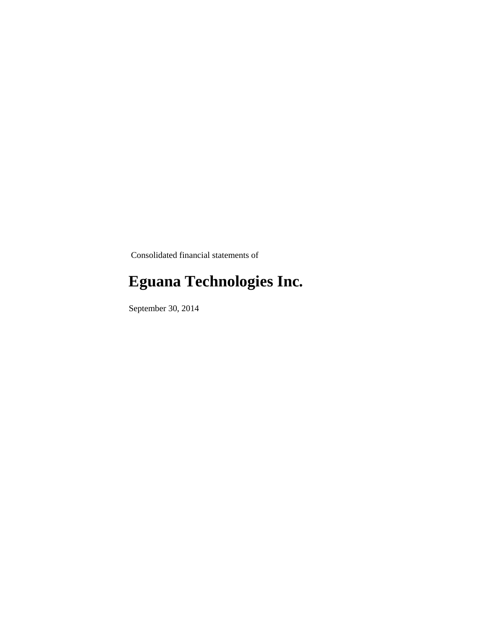Consolidated financial statements of

# **Eguana Technologies Inc.**

September 30, 2014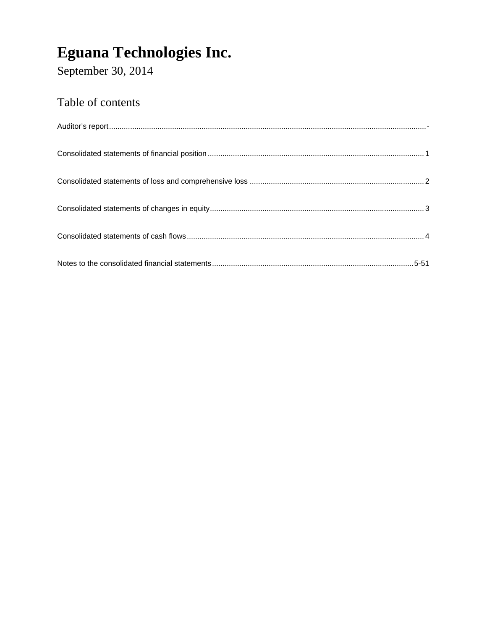September 30, 2014

### Table of contents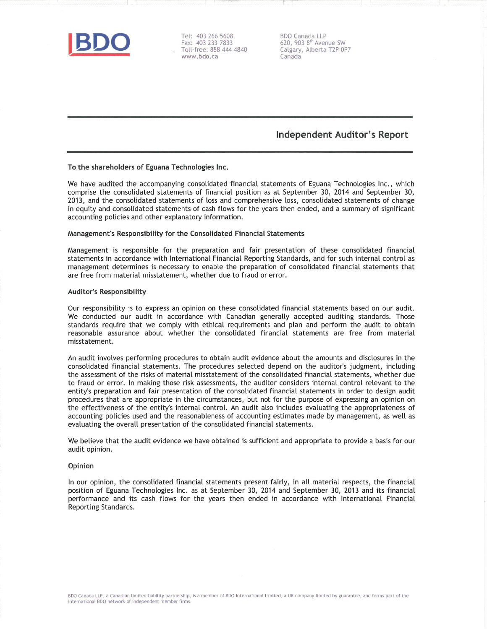

Tel: 403 266 5608 Fax: 403 233 7833 Toll-free: 888 444 4840 www.bdo.ca

**BDO Canada LLP** 620, 903 8<sup>th</sup> Avenue SW Calgary, Alberta T2P OP7 Canada

### **Independent Auditor's Report**

#### To the shareholders of Eguana Technologies Inc.

We have audited the accompanying consolidated financial statements of Eguana Technologies Inc., which comprise the consolidated statements of financial position as at September 30, 2014 and September 30, 2013, and the consolidated statements of loss and comprehensive loss, consolidated statements of change in equity and consolidated statements of cash flows for the years then ended, and a summary of significant accounting policies and other explanatory information.

#### Management's Responsibility for the Consolidated Financial Statements

Management is responsible for the preparation and fair presentation of these consolidated financial statements in accordance with International Financial Reporting Standards, and for such internal control as management determines is necessary to enable the preparation of consolidated financial statements that are free from material misstatement, whether due to fraud or error.

#### Auditor's Responsibility

Our responsibility is to express an opinion on these consolidated financial statements based on our audit. We conducted our audit in accordance with Canadian generally accepted auditing standards. Those standards require that we comply with ethical requirements and plan and perform the audit to obtain reasonable assurance about whether the consolidated financial statements are free from material misstatement.

An audit involves performing procedures to obtain audit evidence about the amounts and disclosures in the consolidated financial statements. The procedures selected depend on the auditor's judgment, including the assessment of the risks of material misstatement of the consolidated financial statements, whether due to fraud or error. In making those risk assessments, the auditor considers internal control relevant to the entity's preparation and fair presentation of the consolidated financial statements in order to design audit procedures that are appropriate in the circumstances, but not for the purpose of expressing an opinion on the effectiveness of the entity's internal control. An audit also includes evaluating the appropriateness of accounting policies used and the reasonableness of accounting estimates made by management, as well as evaluating the overall presentation of the consolidated financial statements.

We believe that the audit evidence we have obtained is sufficient and appropriate to provide a basis for our audit opinion.

#### Opinion

In our opinion, the consolidated financial statements present fairly, in all material respects, the financial position of Eguana Technologies Inc. as at September 30, 2014 and September 30, 2013 and its financial performance and its cash flows for the years then ended in accordance with International Financial Reporting Standards.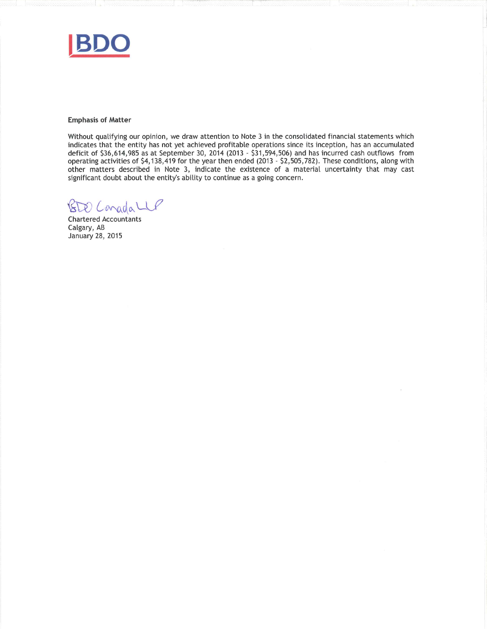

#### **Emphasis of Matter**

Without qualifying our opinion, we draw attention to Note 3 in the consolidated financial statements which indicates that the entity has not yet achieved profitable operations since its inception, has an accumulated deficit of \$36,614,985 as at September 30, 2014 (2013 - \$31,594,506) and has incurred cash outflows from operating activities of \$4,138,419 for the year then ended (2013 - \$2,505,782). These conditions, along with other matters described in Note 3, indicate the existence of a material uncertainty that may cast significant doubt about the entity's ability to continue as a going concern.

STO Canada LLP

**Chartered Accountants** Calgary, AB January 28, 2015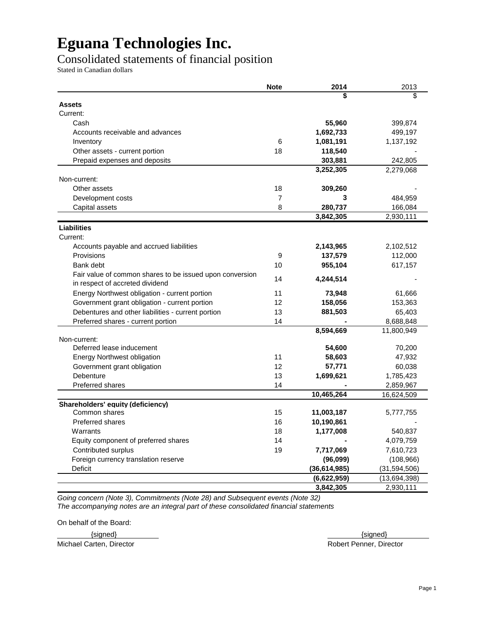### Consolidated statements of financial position

Stated in Canadian dollars

|                                                          | <b>Note</b>    | 2014           | 2013           |
|----------------------------------------------------------|----------------|----------------|----------------|
|                                                          |                | \$             | \$             |
| <b>Assets</b>                                            |                |                |                |
| Current:                                                 |                |                |                |
| Cash                                                     |                | 55,960         | 399,874        |
| Accounts receivable and advances                         |                | 1,692,733      | 499,197        |
| Inventory                                                | 6              | 1,081,191      | 1,137,192      |
| Other assets - current portion                           | 18             | 118,540        |                |
| Prepaid expenses and deposits                            |                | 303,881        | 242,805        |
|                                                          |                | 3,252,305      | 2,279,068      |
| Non-current:                                             |                |                |                |
| Other assets                                             | 18             | 309,260        |                |
| Development costs                                        | $\overline{7}$ | 3              | 484,959        |
| Capital assets                                           | 8              | 280,737        | 166,084        |
|                                                          |                | 3,842,305      | 2,930,111      |
| <b>Liabilities</b>                                       |                |                |                |
| Current:                                                 |                |                |                |
| Accounts payable and accrued liabilities                 |                | 2,143,965      | 2,102,512      |
| Provisions                                               | 9              | 137,579        | 112,000        |
| Bank debt                                                | 10             | 955,104        | 617,157        |
| Fair value of common shares to be issued upon conversion |                |                |                |
| in respect of accreted dividend                          | 14             | 4,244,514      |                |
| Energy Northwest obligation - current portion            | 11             | 73,948         | 61,666         |
| Government grant obligation - current portion            | 12             | 158,056        | 153,363        |
| Debentures and other liabilities - current portion       | 13             | 881,503        | 65,403         |
| Preferred shares - current portion                       | 14             |                | 8,688,848      |
|                                                          |                | 8,594,669      | 11,800,949     |
| Non-current:                                             |                |                |                |
| Deferred lease inducement                                |                | 54,600         | 70,200         |
| <b>Energy Northwest obligation</b>                       | 11             | 58,603         | 47,932         |
| Government grant obligation                              | 12             | 57,771         | 60,038         |
| Debenture                                                | 13             | 1,699,621      | 1,785,423      |
| <b>Preferred shares</b>                                  | 14             |                | 2,859,967      |
|                                                          |                | 10,465,264     | 16,624,509     |
| Shareholders' equity (deficiency)                        |                |                |                |
| Common shares                                            | 15             | 11,003,187     | 5,777,755      |
| <b>Preferred shares</b>                                  | 16             | 10,190,861     |                |
| Warrants                                                 | 18             | 1,177,008      | 540,837        |
| Equity component of preferred shares                     | 14             |                | 4,079,759      |
| Contributed surplus                                      | 19             | 7,717,069      | 7,610,723      |
| Foreign currency translation reserve                     |                | (96,099)       | (108, 966)     |
| Deficit                                                  |                | (36, 614, 985) | (31, 594, 506) |
|                                                          |                | (6,622,959)    | (13,694,398)   |
|                                                          |                | 3,842,305      | 2,930,111      |

*Going concern (Note 3), Commitments (Note 28) and Subsequent events (Note 32) The accompanying notes are an integral part of these consolidated financial statements* 

On behalf of the Board:

 $\{ \text{signed} \}$   $\{ \text{signed} \}$ 

Michael Carten, Director Robert Penner, Director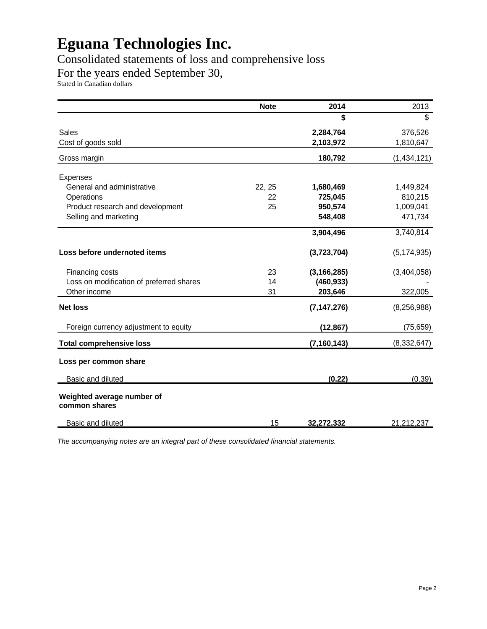Consolidated statements of loss and comprehensive loss

For the years ended September 30,

Stated in Canadian dollars

|                                             | <b>Note</b> | 2014          | 2013          |
|---------------------------------------------|-------------|---------------|---------------|
|                                             |             | \$            | \$            |
| Sales                                       |             | 2,284,764     | 376,526       |
| Cost of goods sold                          |             | 2,103,972     | 1,810,647     |
| Gross margin                                |             | 180,792       | (1,434,121)   |
| <b>Expenses</b>                             |             |               |               |
| General and administrative                  | 22, 25      | 1,680,469     | 1,449,824     |
| Operations                                  | 22          | 725,045       | 810,215       |
| Product research and development            | 25          | 950,574       | 1,009,041     |
| Selling and marketing                       |             | 548,408       | 471,734       |
|                                             |             | 3,904,496     | 3,740,814     |
| Loss before undernoted items                |             | (3,723,704)   | (5, 174, 935) |
| Financing costs                             | 23          | (3, 166, 285) | (3,404,058)   |
| Loss on modification of preferred shares    | 14          | (460, 933)    |               |
| Other income                                | 31          | 203,646       | 322,005       |
| <b>Net loss</b>                             |             | (7, 147, 276) | (8, 256, 988) |
| Foreign currency adjustment to equity       |             | (12, 867)     | (75, 659)     |
| <b>Total comprehensive loss</b>             |             | (7, 160, 143) | (8,332,647)   |
| Loss per common share                       |             |               |               |
| <b>Basic and diluted</b>                    |             | (0.22)        | (0.39)        |
| Weighted average number of<br>common shares |             |               |               |
| Basic and diluted                           | 15          | 32,272,332    | 21,212,237    |

*The accompanying notes are an integral part of these consolidated financial statements.*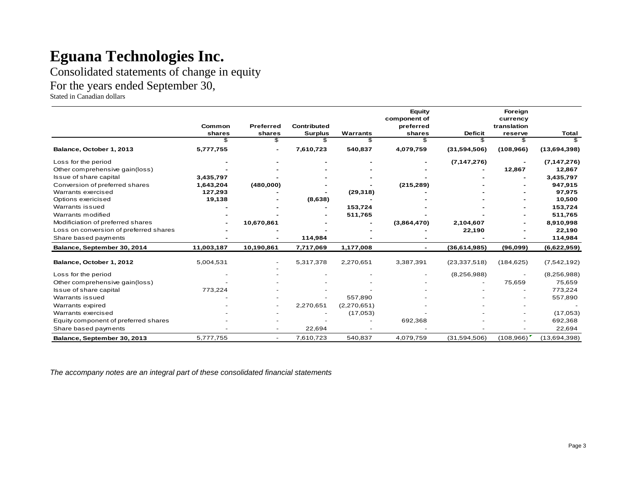Consolidated statements of change in equity

### For the years ended September 30,

Stated in Canadian dollars

|                                        | Common     | Preferred  | <b>Contributed</b> |             | Equity<br>component of<br>preferred |                | Foreign<br>currency<br>translation |               |
|----------------------------------------|------------|------------|--------------------|-------------|-------------------------------------|----------------|------------------------------------|---------------|
|                                        | shares     | shares     | <b>Surplus</b>     | Warrants    | shares                              | <b>Deficit</b> | reserve                            | <b>Total</b>  |
|                                        |            | \$         | \$.                | \$.         |                                     |                |                                    | \$            |
| Balance, October 1, 2013               | 5,777,755  |            | 7,610,723          | 540,837     | 4,079,759                           | (31, 594, 506) | (108, 966)                         | (13,694,398)  |
| Loss for the period                    |            |            |                    |             |                                     | (7, 147, 276)  |                                    | (7, 147, 276) |
| Other comprehensive gain(loss)         |            |            |                    |             |                                     |                | 12,867                             | 12,867        |
| Issue of share capital                 | 3,435,797  |            |                    |             |                                     |                |                                    | 3,435,797     |
| Conversion of preferred shares         | 1,643,204  | (480,000)  |                    |             | (215, 289)                          |                |                                    | 947,915       |
| Warrants exercised                     | 127,293    |            |                    | (29, 318)   |                                     |                |                                    | 97,975        |
| Options exericised                     | 19,138     |            | (8,638)            |             |                                     |                |                                    | 10,500        |
| Warrants issued                        |            |            |                    | 153,724     |                                     |                |                                    | 153,724       |
| Warrants modified                      |            |            |                    | 511,765     |                                     |                |                                    | 511,765       |
| Modificiation of preferred shares      |            | 10,670,861 |                    |             | (3,864,470)                         | 2,104,607      |                                    | 8,910,998     |
| Loss on conversion of preferred shares |            |            |                    |             |                                     | 22,190         |                                    | 22,190        |
| Share based payments                   |            |            | 114,984            |             |                                     |                |                                    | 114,984       |
| Balance, September 30, 2014            | 11,003,187 | 10,190,861 | 7,717,069          | 1,177,008   |                                     | (36, 614, 985) | (96, 099)                          | (6,622,959)   |
| Balance, October 1, 2012               | 5,004,531  |            | 5,317,378          | 2,270,651   | 3,387,391                           | (23, 337, 518) | (184.625)                          | (7, 542, 192) |
| Loss for the period                    |            |            |                    |             |                                     | (8, 256, 988)  |                                    | (8,256,988)   |
| Other comprehensive gain(loss)         |            |            |                    |             |                                     |                | 75,659                             | 75,659        |
| Issue of share capital                 | 773,224    |            |                    |             |                                     |                |                                    | 773,224       |
| Warrants issued                        |            |            |                    | 557,890     |                                     |                |                                    | 557,890       |
| Warrants expired                       |            |            | 2,270,651          | (2,270,651) |                                     |                |                                    |               |
| Warrants exercised                     |            |            |                    | (17,053)    |                                     |                |                                    | (17,053)      |
| Equity component of preferred shares   |            |            |                    |             | 692,368                             |                |                                    | 692,368       |
| Share based payments                   |            |            | 22,694             |             |                                     |                |                                    | 22,694        |
| Balance, September 30, 2013            | 5,777,755  |            | 7,610,723          | 540,837     | 4,079,759                           | (31,594,506)   | (108,966)                          | (13,694,398)  |

*The accompany notes are an integral part of these consolidated financial statements*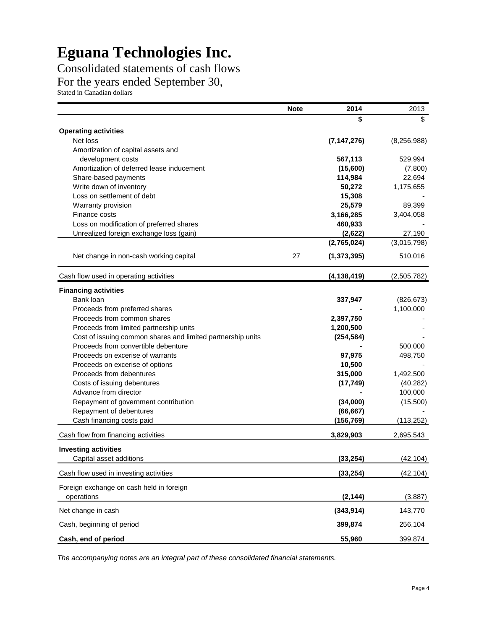Consolidated statements of cash flows

For the years ended September 30,

Stated in Canadian dollars

|                                                             | <b>Note</b> | 2014          | 2013          |
|-------------------------------------------------------------|-------------|---------------|---------------|
|                                                             |             | S             | \$            |
| <b>Operating activities</b>                                 |             |               |               |
| Net loss                                                    |             | (7, 147, 276) | (8, 256, 988) |
| Amortization of capital assets and                          |             |               |               |
| development costs                                           |             | 567,113       | 529,994       |
| Amortization of deferred lease inducement                   |             | (15,600)      | (7,800)       |
| Share-based payments                                        |             | 114,984       | 22,694        |
| Write down of inventory                                     |             | 50,272        | 1,175,655     |
| Loss on settlement of debt                                  |             | 15,308        |               |
| Warranty provision                                          |             | 25,579        | 89,399        |
| Finance costs                                               |             | 3,166,285     | 3,404,058     |
| Loss on modification of preferred shares                    |             | 460,933       |               |
| Unrealized foreign exchange loss (gain)                     |             | (2,622)       | 27,190        |
|                                                             |             | (2,765,024)   | (3,015,798)   |
| Net change in non-cash working capital                      | 27          | (1, 373, 395) | 510,016       |
| Cash flow used in operating activities                      |             | (4, 138, 419) | (2,505,782)   |
| <b>Financing activities</b>                                 |             |               |               |
| Bank loan                                                   |             | 337,947       | (826, 673)    |
| Proceeds from preferred shares                              |             |               | 1,100,000     |
| Proceeds from common shares                                 |             | 2,397,750     |               |
| Proceeds from limited partnership units                     |             | 1,200,500     |               |
| Cost of issuing common shares and limited partnership units |             | (254, 584)    |               |
| Proceeds from convertible debenture                         |             |               | 500,000       |
| Proceeds on excerise of warrants                            |             | 97,975        | 498,750       |
| Proceeds on excerise of options                             |             | 10,500        |               |
| Proceeds from debentures                                    |             | 315,000       | 1,492,500     |
| Costs of issuing debentures                                 |             | (17, 749)     | (40, 282)     |
| Advance from director                                       |             |               | 100,000       |
| Repayment of government contribution                        |             | (34,000)      | (15,500)      |
| Repayment of debentures                                     |             | (66, 667)     |               |
| Cash financing costs paid                                   |             | (156, 769)    | (113, 252)    |
| Cash flow from financing activities                         |             | 3,829,903     | 2,695,543     |
| <b>Investing activities</b>                                 |             |               |               |
| Capital asset additions                                     |             | (33.254)      | (42, 104)     |
| Cash flow used in investing activities                      |             | (33, 254)     | (42, 104)     |
| Foreign exchange on cash held in foreign<br>operations      |             |               |               |
|                                                             |             | (2, 144)      | (3,887)       |
| Net change in cash                                          |             | (343, 914)    | 143,770       |
| Cash, beginning of period                                   |             | 399,874       | 256,104       |
| Cash, end of period                                         |             | 55,960        | 399,874       |

*The accompanying notes are an integral part of these consolidated financial statements.*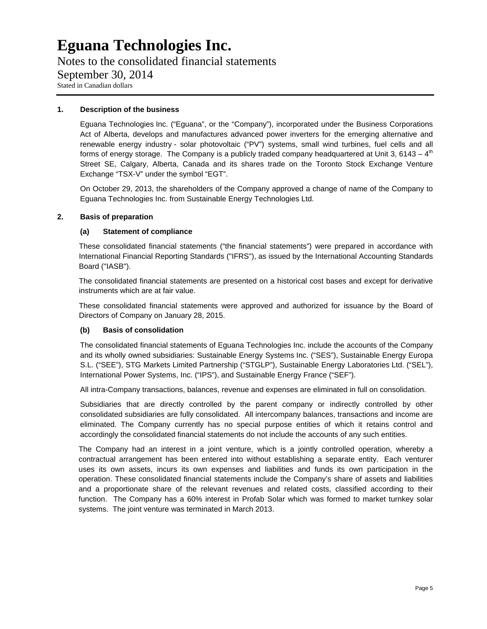Notes to the consolidated financial statements September 30, 2014 Stated in Canadian dollars

#### **1. Description of the business**

Eguana Technologies Inc. ("Eguana", or the "Company"), incorporated under the Business Corporations Act of Alberta, develops and manufactures advanced power inverters for the emerging alternative and renewable energy industry - solar photovoltaic ("PV") systems, small wind turbines, fuel cells and all forms of energy storage. The Company is a publicly traded company headquartered at Unit 3, 6143 –  $4<sup>th</sup>$ Street SE, Calgary, Alberta, Canada and its shares trade on the Toronto Stock Exchange Venture Exchange "TSX-V" under the symbol "EGT".

On October 29, 2013, the shareholders of the Company approved a change of name of the Company to Eguana Technologies Inc. from Sustainable Energy Technologies Ltd.

#### **2. Basis of preparation**

#### **(a) Statement of compliance**

These consolidated financial statements ("the financial statements") were prepared in accordance with International Financial Reporting Standards ("IFRS"), as issued by the International Accounting Standards Board ("IASB").

The consolidated financial statements are presented on a historical cost bases and except for derivative instruments which are at fair value.

These consolidated financial statements were approved and authorized for issuance by the Board of Directors of Company on January 28, 2015.

#### **(b) Basis of consolidation**

The consolidated financial statements of Eguana Technologies Inc. include the accounts of the Company and its wholly owned subsidiaries: Sustainable Energy Systems Inc. ("SES"), Sustainable Energy Europa S.L. ("SEE"), STG Markets Limited Partnership ("STGLP"), Sustainable Energy Laboratories Ltd. ("SEL"), International Power Systems, Inc. ("IPS"), and Sustainable Energy France ("SEF").

All intra-Company transactions, balances, revenue and expenses are eliminated in full on consolidation.

Subsidiaries that are directly controlled by the parent company or indirectly controlled by other consolidated subsidiaries are fully consolidated. All intercompany balances, transactions and income are eliminated. The Company currently has no special purpose entities of which it retains control and accordingly the consolidated financial statements do not include the accounts of any such entities.

The Company had an interest in a joint venture, which is a jointly controlled operation, whereby a contractual arrangement has been entered into without establishing a separate entity. Each venturer uses its own assets, incurs its own expenses and liabilities and funds its own participation in the operation. These consolidated financial statements include the Company's share of assets and liabilities and a proportionate share of the relevant revenues and related costs, classified according to their function. The Company has a 60% interest in Profab Solar which was formed to market turnkey solar systems. The joint venture was terminated in March 2013.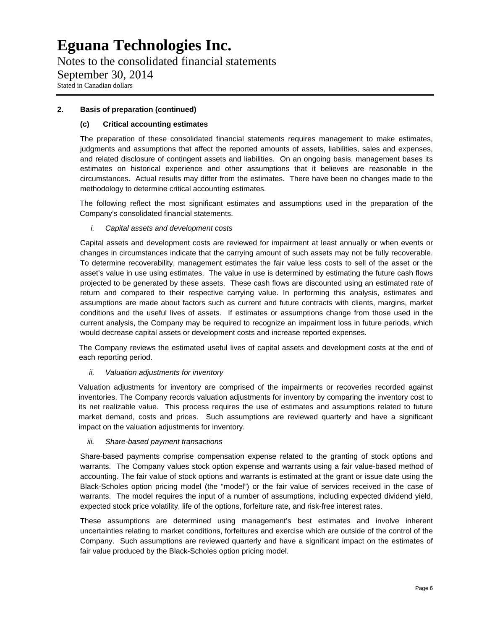Notes to the consolidated financial statements September 30, 2014 Stated in Canadian dollars

### **2. Basis of preparation (continued)**

#### **(c) Critical accounting estimates**

The preparation of these consolidated financial statements requires management to make estimates, judgments and assumptions that affect the reported amounts of assets, liabilities, sales and expenses, and related disclosure of contingent assets and liabilities. On an ongoing basis, management bases its estimates on historical experience and other assumptions that it believes are reasonable in the circumstances. Actual results may differ from the estimates. There have been no changes made to the methodology to determine critical accounting estimates.

The following reflect the most significant estimates and assumptions used in the preparation of the Company's consolidated financial statements.

#### *i. Capital assets and development costs*

Capital assets and development costs are reviewed for impairment at least annually or when events or changes in circumstances indicate that the carrying amount of such assets may not be fully recoverable. To determine recoverability, management estimates the fair value less costs to sell of the asset or the asset's value in use using estimates. The value in use is determined by estimating the future cash flows projected to be generated by these assets. These cash flows are discounted using an estimated rate of return and compared to their respective carrying value. In performing this analysis, estimates and assumptions are made about factors such as current and future contracts with clients, margins, market conditions and the useful lives of assets. If estimates or assumptions change from those used in the current analysis, the Company may be required to recognize an impairment loss in future periods, which would decrease capital assets or development costs and increase reported expenses.

The Company reviews the estimated useful lives of capital assets and development costs at the end of each reporting period.

#### *ii. Valuation adjustments for inventory*

Valuation adjustments for inventory are comprised of the impairments or recoveries recorded against inventories. The Company records valuation adjustments for inventory by comparing the inventory cost to its net realizable value. This process requires the use of estimates and assumptions related to future market demand, costs and prices. Such assumptions are reviewed quarterly and have a significant impact on the valuation adjustments for inventory.

#### *iii. Share-based payment transactions*

Share-based payments comprise compensation expense related to the granting of stock options and warrants. The Company values stock option expense and warrants using a fair value-based method of accounting. The fair value of stock options and warrants is estimated at the grant or issue date using the Black-Scholes option pricing model (the "model") or the fair value of services received in the case of warrants. The model requires the input of a number of assumptions, including expected dividend yield, expected stock price volatility, life of the options, forfeiture rate, and risk-free interest rates.

These assumptions are determined using management's best estimates and involve inherent uncertainties relating to market conditions, forfeitures and exercise which are outside of the control of the Company. Such assumptions are reviewed quarterly and have a significant impact on the estimates of fair value produced by the Black-Scholes option pricing model.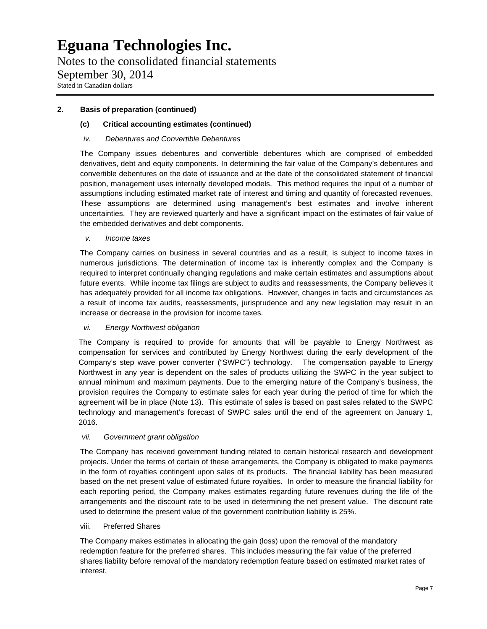Notes to the consolidated financial statements September 30, 2014 Stated in Canadian dollars

### **2. Basis of preparation (continued)**

#### **(c) Critical accounting estimates (continued)**

#### *iv. Debentures and Convertible Debentures*

The Company issues debentures and convertible debentures which are comprised of embedded derivatives, debt and equity components. In determining the fair value of the Company's debentures and convertible debentures on the date of issuance and at the date of the consolidated statement of financial position, management uses internally developed models. This method requires the input of a number of assumptions including estimated market rate of interest and timing and quantity of forecasted revenues. These assumptions are determined using management's best estimates and involve inherent uncertainties. They are reviewed quarterly and have a significant impact on the estimates of fair value of the embedded derivatives and debt components.

#### *v. Income taxes*

The Company carries on business in several countries and as a result, is subject to income taxes in numerous jurisdictions. The determination of income tax is inherently complex and the Company is required to interpret continually changing regulations and make certain estimates and assumptions about future events. While income tax filings are subject to audits and reassessments, the Company believes it has adequately provided for all income tax obligations. However, changes in facts and circumstances as a result of income tax audits, reassessments, jurisprudence and any new legislation may result in an increase or decrease in the provision for income taxes.

#### *vi. Energy Northwest obligation*

 The Company is required to provide for amounts that will be payable to Energy Northwest as compensation for services and contributed by Energy Northwest during the early development of the Company's step wave power converter ("SWPC") technology. The compensation payable to Energy Northwest in any year is dependent on the sales of products utilizing the SWPC in the year subject to annual minimum and maximum payments. Due to the emerging nature of the Company's business, the provision requires the Company to estimate sales for each year during the period of time for which the agreement will be in place (Note 13). This estimate of sales is based on past sales related to the SWPC technology and management's forecast of SWPC sales until the end of the agreement on January 1, 2016.

#### *vii. Government grant obligation*

The Company has received government funding related to certain historical research and development projects. Under the terms of certain of these arrangements, the Company is obligated to make payments in the form of royalties contingent upon sales of its products. The financial liability has been measured based on the net present value of estimated future royalties. In order to measure the financial liability for each reporting period, the Company makes estimates regarding future revenues during the life of the arrangements and the discount rate to be used in determining the net present value. The discount rate used to determine the present value of the government contribution liability is 25%.

#### viii. Preferred Shares

 The Company makes estimates in allocating the gain (loss) upon the removal of the mandatory redemption feature for the preferred shares. This includes measuring the fair value of the preferred shares liability before removal of the mandatory redemption feature based on estimated market rates of interest.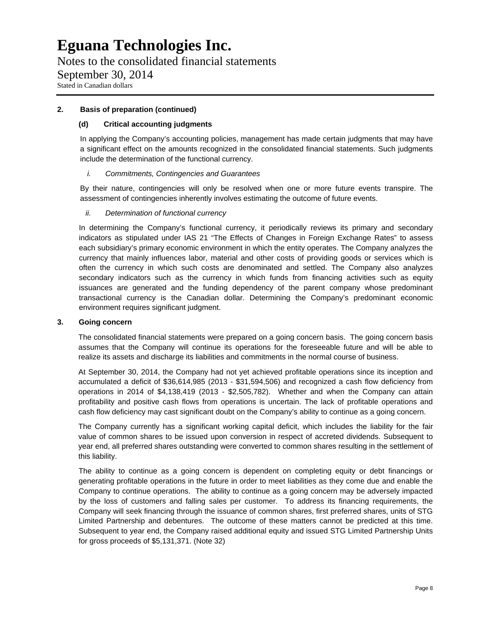Notes to the consolidated financial statements September 30, 2014 Stated in Canadian dollars

#### **2. Basis of preparation (continued)**

#### **(d) Critical accounting judgments**

In applying the Company's accounting policies, management has made certain judgments that may have a significant effect on the amounts recognized in the consolidated financial statements. Such judgments include the determination of the functional currency.

#### *i. Commitments, Contingencies and Guarantees*

By their nature, contingencies will only be resolved when one or more future events transpire. The assessment of contingencies inherently involves estimating the outcome of future events.

#### *ii. Determination of functional currency*

In determining the Company's functional currency, it periodically reviews its primary and secondary indicators as stipulated under IAS 21 "The Effects of Changes in Foreign Exchange Rates" to assess each subsidiary's primary economic environment in which the entity operates. The Company analyzes the currency that mainly influences labor, material and other costs of providing goods or services which is often the currency in which such costs are denominated and settled. The Company also analyzes secondary indicators such as the currency in which funds from financing activities such as equity issuances are generated and the funding dependency of the parent company whose predominant transactional currency is the Canadian dollar. Determining the Company's predominant economic environment requires significant judgment.

#### **3. Going concern**

The consolidated financial statements were prepared on a going concern basis. The going concern basis assumes that the Company will continue its operations for the foreseeable future and will be able to realize its assets and discharge its liabilities and commitments in the normal course of business.

At September 30, 2014, the Company had not yet achieved profitable operations since its inception and accumulated a deficit of \$36,614,985 (2013 - \$31,594,506) and recognized a cash flow deficiency from operations in 2014 of \$4,138,419 (2013 - \$2,505,782). Whether and when the Company can attain profitability and positive cash flows from operations is uncertain. The lack of profitable operations and cash flow deficiency may cast significant doubt on the Company's ability to continue as a going concern.

The Company currently has a significant working capital deficit, which includes the liability for the fair value of common shares to be issued upon conversion in respect of accreted dividends. Subsequent to year end, all preferred shares outstanding were converted to common shares resulting in the settlement of this liability.

The ability to continue as a going concern is dependent on completing equity or debt financings or generating profitable operations in the future in order to meet liabilities as they come due and enable the Company to continue operations. The ability to continue as a going concern may be adversely impacted by the loss of customers and falling sales per customer. To address its financing requirements, the Company will seek financing through the issuance of common shares, first preferred shares, units of STG Limited Partnership and debentures. The outcome of these matters cannot be predicted at this time. Subsequent to year end, the Company raised additional equity and issued STG Limited Partnership Units for gross proceeds of \$5,131,371. (Note 32)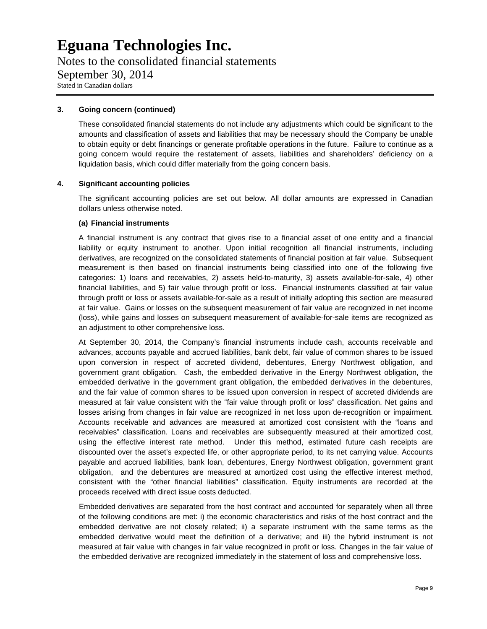Notes to the consolidated financial statements September 30, 2014 Stated in Canadian dollars

#### **3. Going concern (continued)**

These consolidated financial statements do not include any adjustments which could be significant to the amounts and classification of assets and liabilities that may be necessary should the Company be unable to obtain equity or debt financings or generate profitable operations in the future. Failure to continue as a going concern would require the restatement of assets, liabilities and shareholders' deficiency on a liquidation basis, which could differ materially from the going concern basis.

#### **4. Significant accounting policies**

The significant accounting policies are set out below. All dollar amounts are expressed in Canadian dollars unless otherwise noted.

#### **(a) Financial instruments**

A financial instrument is any contract that gives rise to a financial asset of one entity and a financial liability or equity instrument to another. Upon initial recognition all financial instruments, including derivatives, are recognized on the consolidated statements of financial position at fair value. Subsequent measurement is then based on financial instruments being classified into one of the following five categories: 1) loans and receivables, 2) assets held-to-maturity, 3) assets available-for-sale, 4) other financial liabilities, and 5) fair value through profit or loss. Financial instruments classified at fair value through profit or loss or assets available-for-sale as a result of initially adopting this section are measured at fair value. Gains or losses on the subsequent measurement of fair value are recognized in net income (loss), while gains and losses on subsequent measurement of available-for-sale items are recognized as an adjustment to other comprehensive loss.

At September 30, 2014, the Company's financial instruments include cash, accounts receivable and advances, accounts payable and accrued liabilities, bank debt, fair value of common shares to be issued upon conversion in respect of accreted dividend, debentures, Energy Northwest obligation, and government grant obligation. Cash, the embedded derivative in the Energy Northwest obligation, the embedded derivative in the government grant obligation, the embedded derivatives in the debentures, and the fair value of common shares to be issued upon conversion in respect of accreted dividends are measured at fair value consistent with the "fair value through profit or loss" classification. Net gains and losses arising from changes in fair value are recognized in net loss upon de-recognition or impairment. Accounts receivable and advances are measured at amortized cost consistent with the "loans and receivables" classification. Loans and receivables are subsequently measured at their amortized cost, using the effective interest rate method. Under this method, estimated future cash receipts are discounted over the asset's expected life, or other appropriate period, to its net carrying value. Accounts payable and accrued liabilities, bank loan, debentures, Energy Northwest obligation, government grant obligation, and the debentures are measured at amortized cost using the effective interest method, consistent with the "other financial liabilities" classification. Equity instruments are recorded at the proceeds received with direct issue costs deducted.

Embedded derivatives are separated from the host contract and accounted for separately when all three of the following conditions are met: i) the economic characteristics and risks of the host contract and the embedded derivative are not closely related; ii) a separate instrument with the same terms as the embedded derivative would meet the definition of a derivative; and iii) the hybrid instrument is not measured at fair value with changes in fair value recognized in profit or loss. Changes in the fair value of the embedded derivative are recognized immediately in the statement of loss and comprehensive loss.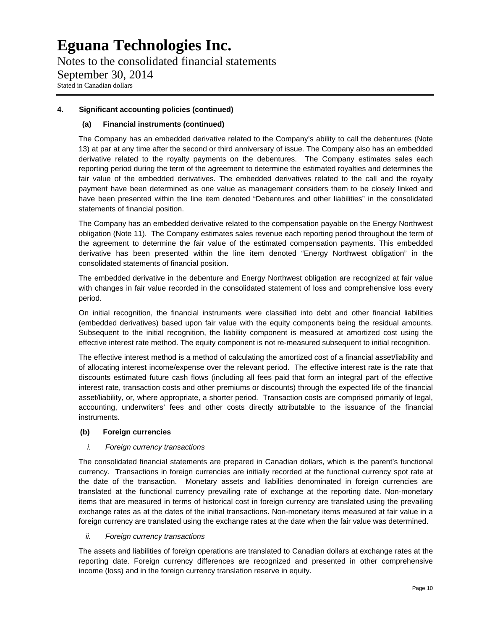Notes to the consolidated financial statements September 30, 2014 Stated in Canadian dollars

### **4. Significant accounting policies (continued)**

### **(a) Financial instruments (continued)**

The Company has an embedded derivative related to the Company's ability to call the debentures (Note 13) at par at any time after the second or third anniversary of issue. The Company also has an embedded derivative related to the royalty payments on the debentures. The Company estimates sales each reporting period during the term of the agreement to determine the estimated royalties and determines the fair value of the embedded derivatives. The embedded derivatives related to the call and the royalty payment have been determined as one value as management considers them to be closely linked and have been presented within the line item denoted "Debentures and other liabilities" in the consolidated statements of financial position.

The Company has an embedded derivative related to the compensation payable on the Energy Northwest obligation (Note 11). The Company estimates sales revenue each reporting period throughout the term of the agreement to determine the fair value of the estimated compensation payments. This embedded derivative has been presented within the line item denoted "Energy Northwest obligation" in the consolidated statements of financial position.

The embedded derivative in the debenture and Energy Northwest obligation are recognized at fair value with changes in fair value recorded in the consolidated statement of loss and comprehensive loss every period.

On initial recognition, the financial instruments were classified into debt and other financial liabilities (embedded derivatives) based upon fair value with the equity components being the residual amounts. Subsequent to the initial recognition, the liability component is measured at amortized cost using the effective interest rate method. The equity component is not re-measured subsequent to initial recognition.

The effective interest method is a method of calculating the amortized cost of a financial asset/liability and of allocating interest income/expense over the relevant period. The effective interest rate is the rate that discounts estimated future cash flows (including all fees paid that form an integral part of the effective interest rate, transaction costs and other premiums or discounts) through the expected life of the financial asset/liability, or, where appropriate, a shorter period. Transaction costs are comprised primarily of legal, accounting, underwriters' fees and other costs directly attributable to the issuance of the financial instruments*.* 

#### **(b) Foreign currencies**

#### *i. Foreign currency transactions*

The consolidated financial statements are prepared in Canadian dollars, which is the parent's functional currency. Transactions in foreign currencies are initially recorded at the functional currency spot rate at the date of the transaction. Monetary assets and liabilities denominated in foreign currencies are translated at the functional currency prevailing rate of exchange at the reporting date. Non-monetary items that are measured in terms of historical cost in foreign currency are translated using the prevailing exchange rates as at the dates of the initial transactions. Non-monetary items measured at fair value in a foreign currency are translated using the exchange rates at the date when the fair value was determined.

#### *ii. Foreign currency transactions*

The assets and liabilities of foreign operations are translated to Canadian dollars at exchange rates at the reporting date. Foreign currency differences are recognized and presented in other comprehensive income (loss) and in the foreign currency translation reserve in equity.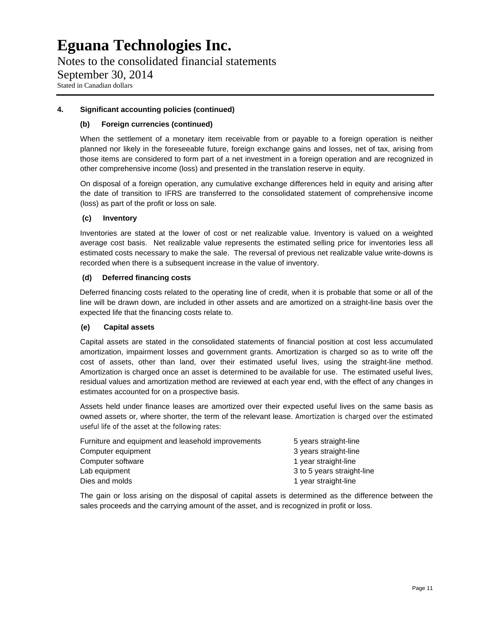Notes to the consolidated financial statements September 30, 2014 Stated in Canadian dollars

#### **4. Significant accounting policies (continued)**

### **(b) Foreign currencies (continued)**

When the settlement of a monetary item receivable from or payable to a foreign operation is neither planned nor likely in the foreseeable future, foreign exchange gains and losses, net of tax, arising from those items are considered to form part of a net investment in a foreign operation and are recognized in other comprehensive income (loss) and presented in the translation reserve in equity.

On disposal of a foreign operation, any cumulative exchange differences held in equity and arising after the date of transition to IFRS are transferred to the consolidated statement of comprehensive income (loss) as part of the profit or loss on sale.

#### **(c) Inventory**

Inventories are stated at the lower of cost or net realizable value. Inventory is valued on a weighted average cost basis. Net realizable value represents the estimated selling price for inventories less all estimated costs necessary to make the sale. The reversal of previous net realizable value write-downs is recorded when there is a subsequent increase in the value of inventory.

#### **(d) Deferred financing costs**

Deferred financing costs related to the operating line of credit, when it is probable that some or all of the line will be drawn down, are included in other assets and are amortized on a straight-line basis over the expected life that the financing costs relate to.

#### **(e) Capital assets**

Capital assets are stated in the consolidated statements of financial position at cost less accumulated amortization, impairment losses and government grants. Amortization is charged so as to write off the cost of assets, other than land, over their estimated useful lives, using the straight-line method. Amortization is charged once an asset is determined to be available for use. The estimated useful lives, residual values and amortization method are reviewed at each year end, with the effect of any changes in estimates accounted for on a prospective basis.

Assets held under finance leases are amortized over their expected useful lives on the same basis as owned assets or, where shorter, the term of the relevant lease. Amortization is charged over the estimated useful life of the asset at the following rates:

| Furniture and equipment and leasehold improvements | 5 years straight-line      |
|----------------------------------------------------|----------------------------|
| Computer equipment                                 | 3 years straight-line      |
| Computer software                                  | 1 year straight-line       |
| Lab equipment                                      | 3 to 5 years straight-line |
| Dies and molds                                     | 1 year straight-line       |

The gain or loss arising on the disposal of capital assets is determined as the difference between the sales proceeds and the carrying amount of the asset, and is recognized in profit or loss.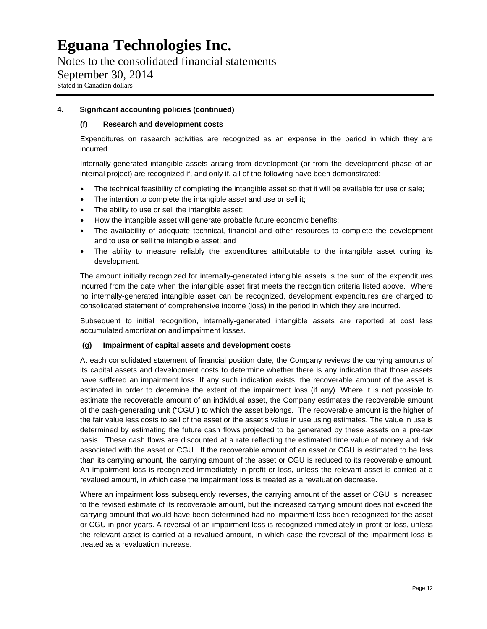Notes to the consolidated financial statements September 30, 2014 Stated in Canadian dollars

#### **4. Significant accounting policies (continued)**

#### **(f) Research and development costs**

Expenditures on research activities are recognized as an expense in the period in which they are incurred.

Internally-generated intangible assets arising from development (or from the development phase of an internal project) are recognized if, and only if, all of the following have been demonstrated:

- The technical feasibility of completing the intangible asset so that it will be available for use or sale;
- The intention to complete the intangible asset and use or sell it;
- The ability to use or sell the intangible asset;
- How the intangible asset will generate probable future economic benefits;
- The availability of adequate technical, financial and other resources to complete the development and to use or sell the intangible asset; and
- The ability to measure reliably the expenditures attributable to the intangible asset during its development.

The amount initially recognized for internally-generated intangible assets is the sum of the expenditures incurred from the date when the intangible asset first meets the recognition criteria listed above. Where no internally-generated intangible asset can be recognized, development expenditures are charged to consolidated statement of comprehensive income (loss) in the period in which they are incurred.

Subsequent to initial recognition, internally-generated intangible assets are reported at cost less accumulated amortization and impairment losses.

#### **(g) Impairment of capital assets and development costs**

At each consolidated statement of financial position date, the Company reviews the carrying amounts of its capital assets and development costs to determine whether there is any indication that those assets have suffered an impairment loss. If any such indication exists, the recoverable amount of the asset is estimated in order to determine the extent of the impairment loss (if any). Where it is not possible to estimate the recoverable amount of an individual asset, the Company estimates the recoverable amount of the cash-generating unit ("CGU") to which the asset belongs. The recoverable amount is the higher of the fair value less costs to sell of the asset or the asset's value in use using estimates. The value in use is determined by estimating the future cash flows projected to be generated by these assets on a pre-tax basis. These cash flows are discounted at a rate reflecting the estimated time value of money and risk associated with the asset or CGU. If the recoverable amount of an asset or CGU is estimated to be less than its carrying amount, the carrying amount of the asset or CGU is reduced to its recoverable amount. An impairment loss is recognized immediately in profit or loss, unless the relevant asset is carried at a revalued amount, in which case the impairment loss is treated as a revaluation decrease.

Where an impairment loss subsequently reverses, the carrying amount of the asset or CGU is increased to the revised estimate of its recoverable amount, but the increased carrying amount does not exceed the carrying amount that would have been determined had no impairment loss been recognized for the asset or CGU in prior years. A reversal of an impairment loss is recognized immediately in profit or loss, unless the relevant asset is carried at a revalued amount, in which case the reversal of the impairment loss is treated as a revaluation increase.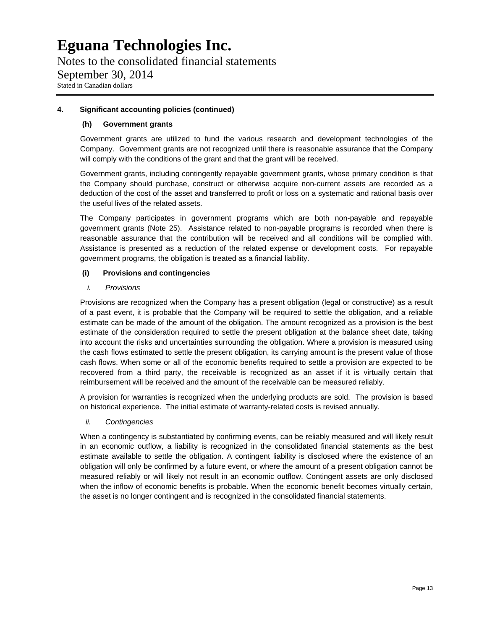Notes to the consolidated financial statements September 30, 2014 Stated in Canadian dollars

#### **4. Significant accounting policies (continued)**

#### **(h) Government grants**

Government grants are utilized to fund the various research and development technologies of the Company. Government grants are not recognized until there is reasonable assurance that the Company will comply with the conditions of the grant and that the grant will be received.

Government grants, including contingently repayable government grants, whose primary condition is that the Company should purchase, construct or otherwise acquire non-current assets are recorded as a deduction of the cost of the asset and transferred to profit or loss on a systematic and rational basis over the useful lives of the related assets.

The Company participates in government programs which are both non-payable and repayable government grants (Note 25). Assistance related to non-payable programs is recorded when there is reasonable assurance that the contribution will be received and all conditions will be complied with. Assistance is presented as a reduction of the related expense or development costs. For repayable government programs, the obligation is treated as a financial liability.

### **(i) Provisions and contingencies**

#### *i. Provisions*

Provisions are recognized when the Company has a present obligation (legal or constructive) as a result of a past event, it is probable that the Company will be required to settle the obligation, and a reliable estimate can be made of the amount of the obligation. The amount recognized as a provision is the best estimate of the consideration required to settle the present obligation at the balance sheet date, taking into account the risks and uncertainties surrounding the obligation. Where a provision is measured using the cash flows estimated to settle the present obligation, its carrying amount is the present value of those cash flows. When some or all of the economic benefits required to settle a provision are expected to be recovered from a third party, the receivable is recognized as an asset if it is virtually certain that reimbursement will be received and the amount of the receivable can be measured reliably.

A provision for warranties is recognized when the underlying products are sold. The provision is based on historical experience. The initial estimate of warranty-related costs is revised annually.

#### *ii. Contingencies*

When a contingency is substantiated by confirming events, can be reliably measured and will likely result in an economic outflow, a liability is recognized in the consolidated financial statements as the best estimate available to settle the obligation. A contingent liability is disclosed where the existence of an obligation will only be confirmed by a future event, or where the amount of a present obligation cannot be measured reliably or will likely not result in an economic outflow. Contingent assets are only disclosed when the inflow of economic benefits is probable. When the economic benefit becomes virtually certain, the asset is no longer contingent and is recognized in the consolidated financial statements.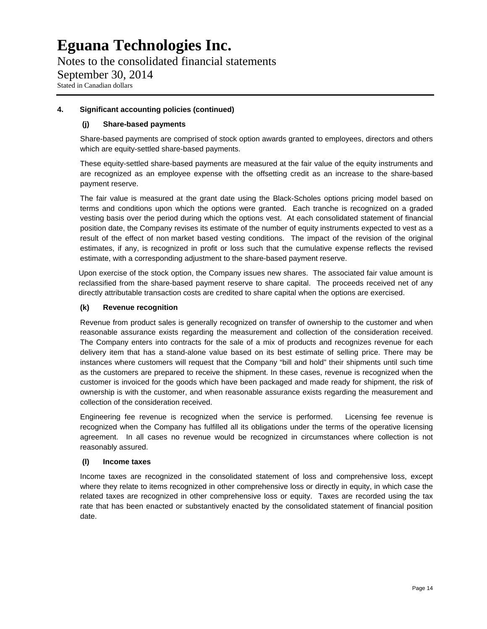Notes to the consolidated financial statements September 30, 2014 Stated in Canadian dollars

### **4. Significant accounting policies (continued)**

#### **(j) Share-based payments**

Share-based payments are comprised of stock option awards granted to employees, directors and others which are equity-settled share-based payments.

These equity-settled share-based payments are measured at the fair value of the equity instruments and are recognized as an employee expense with the offsetting credit as an increase to the share-based payment reserve.

The fair value is measured at the grant date using the Black-Scholes options pricing model based on terms and conditions upon which the options were granted. Each tranche is recognized on a graded vesting basis over the period during which the options vest. At each consolidated statement of financial position date, the Company revises its estimate of the number of equity instruments expected to vest as a result of the effect of non market based vesting conditions. The impact of the revision of the original estimates, if any, is recognized in profit or loss such that the cumulative expense reflects the revised estimate, with a corresponding adjustment to the share-based payment reserve.

Upon exercise of the stock option, the Company issues new shares. The associated fair value amount is reclassified from the share-based payment reserve to share capital. The proceeds received net of any directly attributable transaction costs are credited to share capital when the options are exercised.

#### **(k) Revenue recognition**

Revenue from product sales is generally recognized on transfer of ownership to the customer and when reasonable assurance exists regarding the measurement and collection of the consideration received. The Company enters into contracts for the sale of a mix of products and recognizes revenue for each delivery item that has a stand-alone value based on its best estimate of selling price. There may be instances where customers will request that the Company "bill and hold" their shipments until such time as the customers are prepared to receive the shipment. In these cases, revenue is recognized when the customer is invoiced for the goods which have been packaged and made ready for shipment, the risk of ownership is with the customer, and when reasonable assurance exists regarding the measurement and collection of the consideration received.

Engineering fee revenue is recognized when the service is performed. Licensing fee revenue is recognized when the Company has fulfilled all its obligations under the terms of the operative licensing agreement. In all cases no revenue would be recognized in circumstances where collection is not reasonably assured.

#### **(l) Income taxes**

Income taxes are recognized in the consolidated statement of loss and comprehensive loss, except where they relate to items recognized in other comprehensive loss or directly in equity, in which case the related taxes are recognized in other comprehensive loss or equity. Taxes are recorded using the tax rate that has been enacted or substantively enacted by the consolidated statement of financial position date.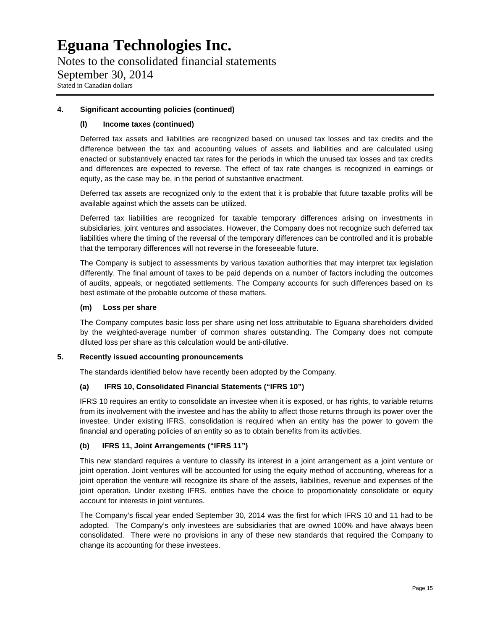Notes to the consolidated financial statements September 30, 2014 Stated in Canadian dollars

### **4. Significant accounting policies (continued)**

#### **(l) Income taxes (continued)**

Deferred tax assets and liabilities are recognized based on unused tax losses and tax credits and the difference between the tax and accounting values of assets and liabilities and are calculated using enacted or substantively enacted tax rates for the periods in which the unused tax losses and tax credits and differences are expected to reverse. The effect of tax rate changes is recognized in earnings or equity, as the case may be, in the period of substantive enactment.

Deferred tax assets are recognized only to the extent that it is probable that future taxable profits will be available against which the assets can be utilized.

Deferred tax liabilities are recognized for taxable temporary differences arising on investments in subsidiaries, joint ventures and associates. However, the Company does not recognize such deferred tax liabilities where the timing of the reversal of the temporary differences can be controlled and it is probable that the temporary differences will not reverse in the foreseeable future.

The Company is subject to assessments by various taxation authorities that may interpret tax legislation differently. The final amount of taxes to be paid depends on a number of factors including the outcomes of audits, appeals, or negotiated settlements. The Company accounts for such differences based on its best estimate of the probable outcome of these matters.

#### **(m) Loss per share**

The Company computes basic loss per share using net loss attributable to Eguana shareholders divided by the weighted-average number of common shares outstanding. The Company does not compute diluted loss per share as this calculation would be anti-dilutive.

#### **5. Recently issued accounting pronouncements**

The standards identified below have recently been adopted by the Company.

#### **(a) IFRS 10, Consolidated Financial Statements ("IFRS 10")**

IFRS 10 requires an entity to consolidate an investee when it is exposed, or has rights, to variable returns from its involvement with the investee and has the ability to affect those returns through its power over the investee. Under existing IFRS, consolidation is required when an entity has the power to govern the financial and operating policies of an entity so as to obtain benefits from its activities.

### **(b) IFRS 11, Joint Arrangements ("IFRS 11")**

This new standard requires a venture to classify its interest in a joint arrangement as a joint venture or joint operation. Joint ventures will be accounted for using the equity method of accounting, whereas for a joint operation the venture will recognize its share of the assets, liabilities, revenue and expenses of the joint operation. Under existing IFRS, entities have the choice to proportionately consolidate or equity account for interests in joint ventures.

The Company's fiscal year ended September 30, 2014 was the first for which IFRS 10 and 11 had to be adopted. The Company's only investees are subsidiaries that are owned 100% and have always been consolidated. There were no provisions in any of these new standards that required the Company to change its accounting for these investees.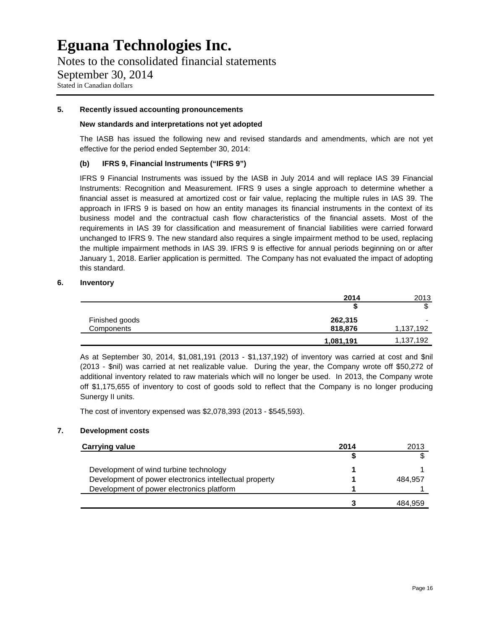Notes to the consolidated financial statements September 30, 2014 Stated in Canadian dollars

#### **5. Recently issued accounting pronouncements**

#### **New standards and interpretations not yet adopted**

The IASB has issued the following new and revised standards and amendments, which are not yet effective for the period ended September 30, 2014:

#### **(b) IFRS 9, Financial Instruments ("IFRS 9")**

IFRS 9 Financial Instruments was issued by the IASB in July 2014 and will replace IAS 39 Financial Instruments: Recognition and Measurement. IFRS 9 uses a single approach to determine whether a financial asset is measured at amortized cost or fair value, replacing the multiple rules in IAS 39. The approach in IFRS 9 is based on how an entity manages its financial instruments in the context of its business model and the contractual cash flow characteristics of the financial assets. Most of the requirements in IAS 39 for classification and measurement of financial liabilities were carried forward unchanged to IFRS 9. The new standard also requires a single impairment method to be used, replacing the multiple impairment methods in IAS 39. IFRS 9 is effective for annual periods beginning on or after January 1, 2018. Earlier application is permitted. The Company has not evaluated the impact of adopting this standard.

#### **6. Inventory**

|                | 2014      | 2013                     |
|----------------|-----------|--------------------------|
|                |           | r<br>ง                   |
| Finished goods | 262,315   | $\overline{\phantom{0}}$ |
| Components     | 818,876   | 1,137,192                |
|                | 1,081,191 | 1,137,192                |

As at September 30, 2014, \$1,081,191 (2013 - \$1,137,192) of inventory was carried at cost and \$nil (2013 - \$nil) was carried at net realizable value. During the year, the Company wrote off \$50,272 of additional inventory related to raw materials which will no longer be used. In 2013, the Company wrote off \$1,175,655 of inventory to cost of goods sold to reflect that the Company is no longer producing Sunergy II units.

The cost of inventory expensed was \$2,078,393 (2013 - \$545,593).

#### **7. Development costs**

| <b>Carrying value</b>                                  | 2014 | 2013    |
|--------------------------------------------------------|------|---------|
|                                                        |      |         |
| Development of wind turbine technology                 |      |         |
| Development of power electronics intellectual property |      | 484.957 |
| Development of power electronics platform              |      |         |
|                                                        |      | 484.959 |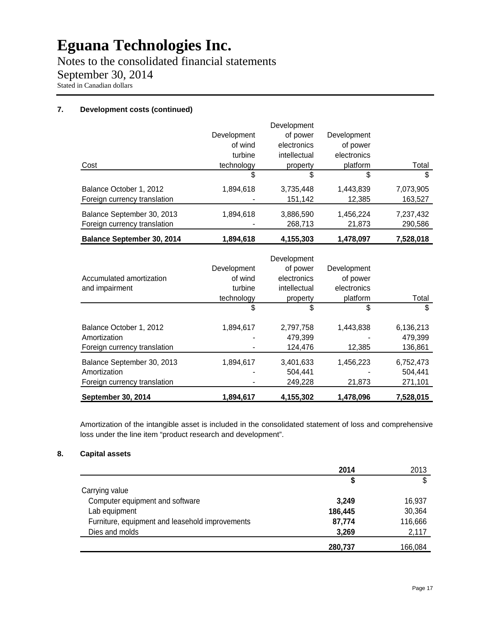Notes to the consolidated financial statements September 30, 2014 Stated in Canadian dollars

### **7. Development costs (continued)**

|                                   |             | Development  |             |           |
|-----------------------------------|-------------|--------------|-------------|-----------|
|                                   | Development | of power     | Development |           |
|                                   | of wind     | electronics  | of power    |           |
|                                   | turbine     | intellectual | electronics |           |
| Cost                              | technology  | property     | platform    | Total     |
|                                   | \$          | \$           | \$          | \$        |
| Balance October 1, 2012           | 1,894,618   | 3,735,448    | 1,443,839   | 7,073,905 |
| Foreign currency translation      |             | 151,142      | 12,385      | 163,527   |
| Balance September 30, 2013        | 1,894,618   | 3,886,590    | 1,456,224   | 7,237,432 |
| Foreign currency translation      |             | 268,713      | 21,873      | 290,586   |
| <b>Balance September 30, 2014</b> | 1,894,618   | 4,155,303    | 1,478,097   | 7,528,018 |

| September 30, 2014           | 1.894.617   | 4,155,302    | 1.478.096   | 7,528,015 |
|------------------------------|-------------|--------------|-------------|-----------|
| Foreign currency translation |             | 249,228      | 21,873      | 271,101   |
| Amortization                 |             | 504,441      |             | 504.441   |
| Balance September 30, 2013   | 1,894,617   | 3,401,633    | 1,456,223   | 6,752,473 |
| Foreign currency translation |             | 124.476      | 12.385      | 136,861   |
| Amortization                 |             | 479,399      |             | 479,399   |
| Balance October 1, 2012      | 1,894,617   | 2,797,758    | 1,443,838   | 6,136,213 |
|                              | \$          | \$           | \$          | S         |
|                              | technology  | property     | platform    | Total     |
| and impairment               | turbine     | intellectual | electronics |           |
| Accumulated amortization     | of wind     | electronics  | of power    |           |
|                              | Development | of power     | Development |           |
|                              |             | Development  |             |           |

Amortization of the intangible asset is included in the consolidated statement of loss and comprehensive loss under the line item "product research and development".

### **8. Capital assets**

| 2014    | 2013    |
|---------|---------|
| 5       |         |
|         |         |
| 3.249   | 16.937  |
| 186,445 | 30,364  |
| 87,774  | 116,666 |
| 3,269   | 2,117   |
| 280,737 | 166,084 |
|         |         |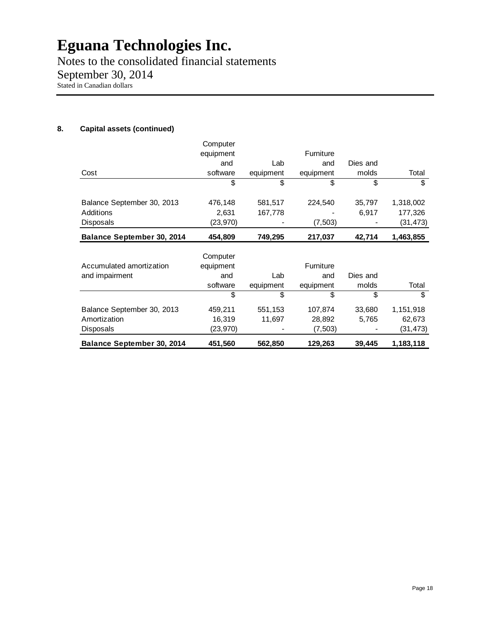Notes to the consolidated financial statements September 30, 2014 Stated in Canadian dollars

### **8. Capital assets (continued)**

|                            | Computer  |           |                  |          |           |
|----------------------------|-----------|-----------|------------------|----------|-----------|
|                            | equipment |           | Furniture        |          |           |
|                            | and       | Lab       | and              | Dies and |           |
| Cost                       | software  | equipment | equipment        | molds    | Total     |
|                            | \$        | \$        | \$               | \$       | \$        |
|                            |           |           |                  |          |           |
| Balance September 30, 2013 | 476,148   | 581,517   | 224,540          | 35,797   | 1,318,002 |
| Additions                  | 2,631     | 167,778   |                  | 6,917    | 177,326   |
| <b>Disposals</b>           | (23, 970) |           | (7,503)          |          | (31, 473) |
| Balance September 30, 2014 | 454,809   | 749,295   | 217,037          | 42,714   | 1,463,855 |
|                            |           |           |                  |          |           |
|                            | Computer  |           |                  |          |           |
| Accumulated amortization   | equipment |           | <b>Furniture</b> |          |           |
| and impairment             | and       | Lab       | and              | Dies and |           |
|                            | software  | equipment | equipment        | molds    | Total     |
|                            | \$        | \$        | \$               | \$       | \$        |
| Balance September 30, 2013 | 459,211   | 551,153   | 107,874          | 33,680   | 1,151,918 |
| Amortization               | 16,319    | 11,697    | 28,892           | 5,765    | 62,673    |
| <b>Disposals</b>           | (23, 970) |           | (7,503)          |          | (31,473)  |
|                            |           |           |                  |          |           |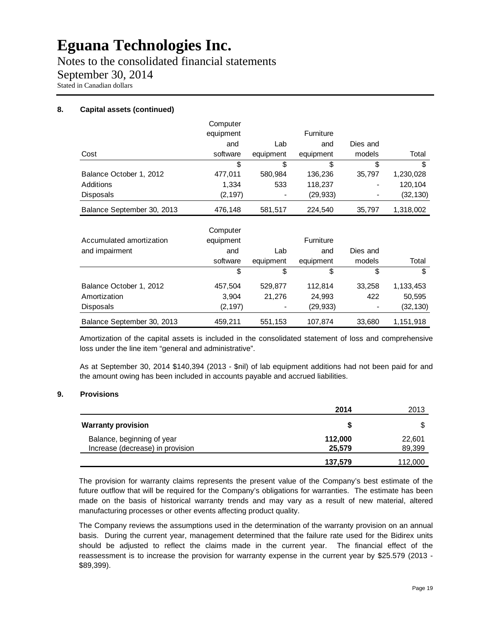Notes to the consolidated financial statements September 30, 2014 Stated in Canadian dollars

### **8. Capital assets (continued)**

|                            | Computer  |           |                  |          |           |
|----------------------------|-----------|-----------|------------------|----------|-----------|
|                            | equipment |           | <b>Furniture</b> |          |           |
|                            | and       | Lab       | and              | Dies and |           |
| Cost                       | software  | equipment | equipment        | models   | Total     |
|                            | \$        | \$        | \$               | \$       | \$        |
| Balance October 1, 2012    | 477,011   | 580,984   | 136,236          | 35,797   | 1,230,028 |
| Additions                  | 1,334     | 533       | 118,237          |          | 120,104   |
| <b>Disposals</b>           | (2, 197)  |           | (29, 933)        |          | (32, 130) |
| Balance September 30, 2013 | 476,148   | 581,517   | 224,540          | 35,797   | 1,318,002 |
|                            | Computer  |           |                  |          |           |
| Accumulated amortization   | equipment |           | Furniture        |          |           |
| and impairment             | and       | Lab       | and              | Dies and |           |
|                            | software  | equipment | equipment        | models   | Total     |
|                            | \$        | \$        | \$               | \$       | \$        |
| Balance October 1, 2012    | 457,504   | 529,877   | 112,814          | 33,258   | 1,133,453 |
| Amortization               | 3,904     | 21,276    | 24,993           | 422      | 50,595    |
| Disposals                  | (2, 197)  |           | (29,933)         |          | (32, 130) |
| Balance September 30, 2013 | 459,211   | 551,153   | 107,874          | 33,680   | 1,151,918 |

Amortization of the capital assets is included in the consolidated statement of loss and comprehensive loss under the line item "general and administrative".

As at September 30, 2014 \$140,394 (2013 - \$nil) of lab equipment additions had not been paid for and the amount owing has been included in accounts payable and accrued liabilities.

#### **9. Provisions**

|                                  | 2014    | 2013    |
|----------------------------------|---------|---------|
| <b>Warranty provision</b>        |         |         |
| Balance, beginning of year       | 112,000 | 22,601  |
| Increase (decrease) in provision | 25.579  | 89,399  |
|                                  | 137,579 | 112,000 |

The provision for warranty claims represents the present value of the Company's best estimate of the future outflow that will be required for the Company's obligations for warranties. The estimate has been made on the basis of historical warranty trends and may vary as a result of new material, altered manufacturing processes or other events affecting product quality.

The Company reviews the assumptions used in the determination of the warranty provision on an annual basis. During the current year, management determined that the failure rate used for the Bidirex units should be adjusted to reflect the claims made in the current year. The financial effect of the reassessment is to increase the provision for warranty expense in the current year by \$25.579 (2013 - \$89,399).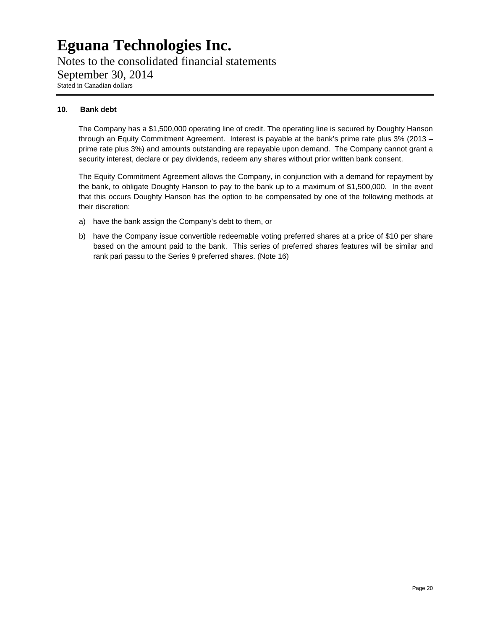Notes to the consolidated financial statements September 30, 2014 Stated in Canadian dollars

#### **10. Bank debt**

The Company has a \$1,500,000 operating line of credit. The operating line is secured by Doughty Hanson through an Equity Commitment Agreement. Interest is payable at the bank's prime rate plus 3% (2013 – prime rate plus 3%) and amounts outstanding are repayable upon demand. The Company cannot grant a security interest, declare or pay dividends, redeem any shares without prior written bank consent.

The Equity Commitment Agreement allows the Company, in conjunction with a demand for repayment by the bank, to obligate Doughty Hanson to pay to the bank up to a maximum of \$1,500,000. In the event that this occurs Doughty Hanson has the option to be compensated by one of the following methods at their discretion:

- a) have the bank assign the Company's debt to them, or
- b) have the Company issue convertible redeemable voting preferred shares at a price of \$10 per share based on the amount paid to the bank. This series of preferred shares features will be similar and rank pari passu to the Series 9 preferred shares. (Note 16)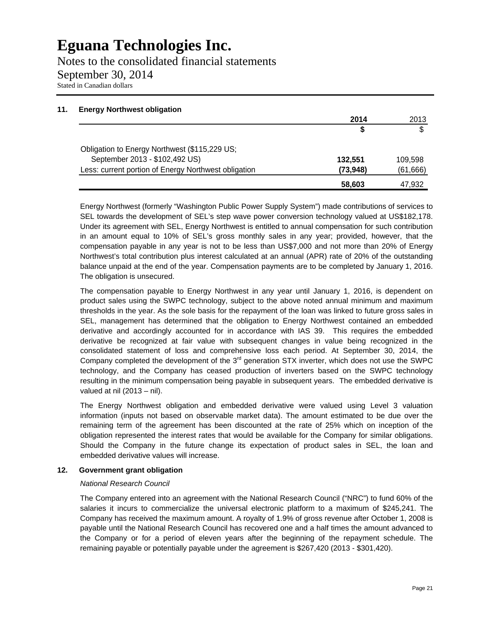Notes to the consolidated financial statements September 30, 2014 Stated in Canadian dollars

#### **11. Energy Northwest obligation**

|                                                      | 2014     | 2013      |
|------------------------------------------------------|----------|-----------|
|                                                      |          |           |
| Obligation to Energy Northwest (\$115,229 US;        |          |           |
| September 2013 - \$102,492 US)                       | 132,551  | 109,598   |
| Less: current portion of Energy Northwest obligation | (73,948) | (61, 666) |
|                                                      | 58,603   | 47,932    |

Energy Northwest (formerly "Washington Public Power Supply System") made contributions of services to SEL towards the development of SEL's step wave power conversion technology valued at US\$182,178. Under its agreement with SEL, Energy Northwest is entitled to annual compensation for such contribution in an amount equal to 10% of SEL's gross monthly sales in any year; provided, however, that the compensation payable in any year is not to be less than US\$7,000 and not more than 20% of Energy Northwest's total contribution plus interest calculated at an annual (APR) rate of 20% of the outstanding balance unpaid at the end of the year. Compensation payments are to be completed by January 1, 2016. The obligation is unsecured.

The compensation payable to Energy Northwest in any year until January 1, 2016, is dependent on product sales using the SWPC technology, subject to the above noted annual minimum and maximum thresholds in the year. As the sole basis for the repayment of the loan was linked to future gross sales in SEL, management has determined that the obligation to Energy Northwest contained an embedded derivative and accordingly accounted for in accordance with IAS 39. This requires the embedded derivative be recognized at fair value with subsequent changes in value being recognized in the consolidated statement of loss and comprehensive loss each period. At September 30, 2014, the Company completed the development of the 3<sup>rd</sup> generation STX inverter, which does not use the SWPC technology, and the Company has ceased production of inverters based on the SWPC technology resulting in the minimum compensation being payable in subsequent years. The embedded derivative is valued at nil (2013 – nil).

The Energy Northwest obligation and embedded derivative were valued using Level 3 valuation information (inputs not based on observable market data). The amount estimated to be due over the remaining term of the agreement has been discounted at the rate of 25% which on inception of the obligation represented the interest rates that would be available for the Company for similar obligations. Should the Company in the future change its expectation of product sales in SEL, the loan and embedded derivative values will increase.

#### **12. Government grant obligation**

#### *National Research Council*

The Company entered into an agreement with the National Research Council ("NRC") to fund 60% of the salaries it incurs to commercialize the universal electronic platform to a maximum of \$245,241. The Company has received the maximum amount. A royalty of 1.9% of gross revenue after October 1, 2008 is payable until the National Research Council has recovered one and a half times the amount advanced to the Company or for a period of eleven years after the beginning of the repayment schedule. The remaining payable or potentially payable under the agreement is \$267,420 (2013 - \$301,420).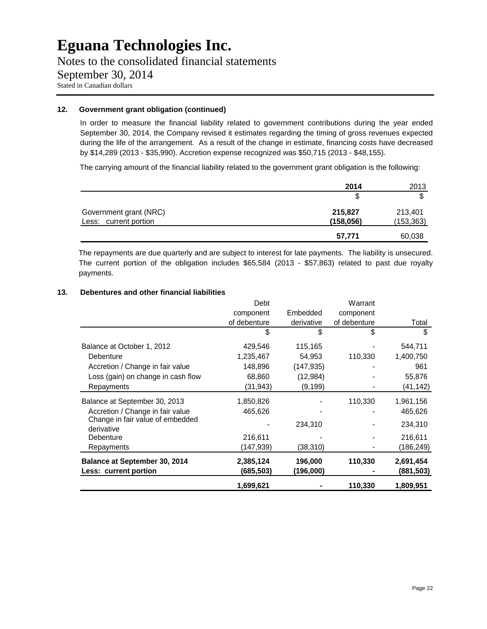Notes to the consolidated financial statements September 30, 2014 Stated in Canadian dollars

#### **12. Government grant obligation (continued)**

In order to measure the financial liability related to government contributions during the year ended September 30, 2014, the Company revised it estimates regarding the timing of gross revenues expected during the life of the arrangement. As a result of the change in estimate, financing costs have decreased by \$14,289 (2013 - \$35,990). Accretion expense recognized was \$50,715 (2013 - \$48,155).

The carrying amount of the financial liability related to the government grant obligation is the following:

|                                                 | 2014                  | 2013                  |
|-------------------------------------------------|-----------------------|-----------------------|
|                                                 |                       |                       |
| Government grant (NRC)<br>Less: current portion | 215,827<br>(158, 056) | 213,401<br>(153, 363) |
|                                                 | 57,771                | 60,038                |

The repayments are due quarterly and are subject to interest for late payments. The liability is unsecured. The current portion of the obligation includes \$65,584 (2013 - \$57,863) related to past due royalty payments.

### **13. Debentures and other financial liabilities**

|                                                        | Debt                   |                      | Warrant      |                         |
|--------------------------------------------------------|------------------------|----------------------|--------------|-------------------------|
|                                                        | component              | Embedded             | component    |                         |
|                                                        | of debenture           | derivative           | of debenture | Total                   |
|                                                        | \$                     | \$                   | \$           | \$                      |
| Balance at October 1, 2012                             | 429,546                | 115,165              |              | 544,711                 |
| Debenture                                              | 1,235,467              | 54,953               | 110,330      | 1,400,750               |
| Accretion / Change in fair value                       | 148,896                | (147, 935)           |              | 961                     |
| Loss (gain) on change in cash flow                     | 68,860                 | (12, 984)            |              | 55,876                  |
| Repayments                                             | (31, 943)              | (9, 199)             |              | (41,142)                |
| Balance at September 30, 2013                          | 1,850,826              |                      | 110,330      | 1,961,156               |
| Accretion / Change in fair value                       | 465,626                |                      |              | 465,626                 |
| Change in fair value of embedded<br>derivative         |                        | 234,310              |              | 234,310                 |
| Debenture                                              | 216,611                |                      |              | 216,611                 |
| Repayments                                             | (147,939)              | (38,310)             |              | (186, 249)              |
| Balance at September 30, 2014<br>Less: current portion | 2,385,124<br>(685,503) | 196,000<br>(196,000) | 110,330      | 2,691,454<br>(881, 503) |
|                                                        | 1,699,621              |                      | 110,330      | 1,809,951               |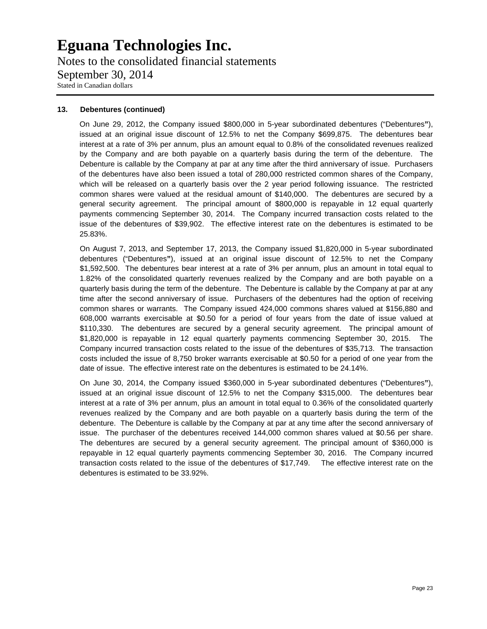Notes to the consolidated financial statements September 30, 2014 Stated in Canadian dollars

#### **13. Debentures (continued)**

On June 29, 2012, the Company issued \$800,000 in 5-year subordinated debentures ("Debentures**"**), issued at an original issue discount of 12.5% to net the Company \$699,875. The debentures bear interest at a rate of 3% per annum, plus an amount equal to 0.8% of the consolidated revenues realized by the Company and are both payable on a quarterly basis during the term of the debenture. The Debenture is callable by the Company at par at any time after the third anniversary of issue. Purchasers of the debentures have also been issued a total of 280,000 restricted common shares of the Company, which will be released on a quarterly basis over the 2 year period following issuance. The restricted common shares were valued at the residual amount of \$140,000. The debentures are secured by a general security agreement. The principal amount of \$800,000 is repayable in 12 equal quarterly payments commencing September 30, 2014. The Company incurred transaction costs related to the issue of the debentures of \$39,902. The effective interest rate on the debentures is estimated to be 25.83%.

On August 7, 2013, and September 17, 2013, the Company issued \$1,820,000 in 5-year subordinated debentures ("Debentures**"**), issued at an original issue discount of 12.5% to net the Company \$1,592,500. The debentures bear interest at a rate of 3% per annum, plus an amount in total equal to 1.82% of the consolidated quarterly revenues realized by the Company and are both payable on a quarterly basis during the term of the debenture. The Debenture is callable by the Company at par at any time after the second anniversary of issue. Purchasers of the debentures had the option of receiving common shares or warrants. The Company issued 424,000 commons shares valued at \$156,880 and 608,000 warrants exercisable at \$0.50 for a period of four years from the date of issue valued at \$110,330. The debentures are secured by a general security agreement. The principal amount of \$1,820,000 is repayable in 12 equal quarterly payments commencing September 30, 2015. The Company incurred transaction costs related to the issue of the debentures of \$35,713. The transaction costs included the issue of 8,750 broker warrants exercisable at \$0.50 for a period of one year from the date of issue. The effective interest rate on the debentures is estimated to be 24.14%.

On June 30, 2014, the Company issued \$360,000 in 5-year subordinated debentures ("Debentures**"**), issued at an original issue discount of 12.5% to net the Company \$315,000. The debentures bear interest at a rate of 3% per annum, plus an amount in total equal to 0.36% of the consolidated quarterly revenues realized by the Company and are both payable on a quarterly basis during the term of the debenture. The Debenture is callable by the Company at par at any time after the second anniversary of issue. The purchaser of the debentures received 144,000 common shares valued at \$0.56 per share. The debentures are secured by a general security agreement. The principal amount of \$360,000 is repayable in 12 equal quarterly payments commencing September 30, 2016. The Company incurred transaction costs related to the issue of the debentures of \$17,749. The effective interest rate on the debentures is estimated to be 33.92%.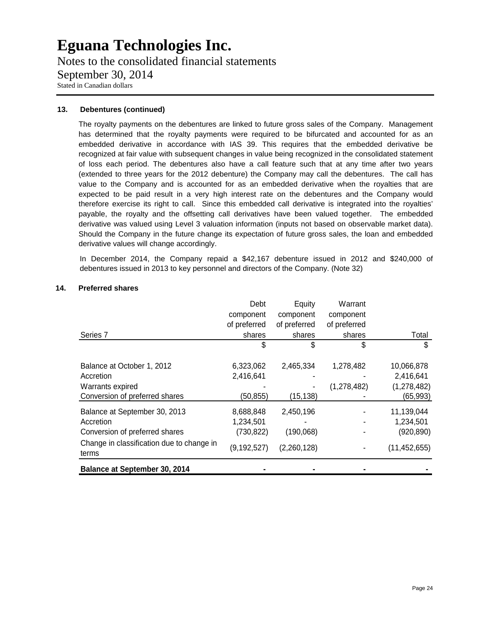Notes to the consolidated financial statements September 30, 2014 Stated in Canadian dollars

#### **13. Debentures (continued)**

The royalty payments on the debentures are linked to future gross sales of the Company. Management has determined that the royalty payments were required to be bifurcated and accounted for as an embedded derivative in accordance with IAS 39. This requires that the embedded derivative be recognized at fair value with subsequent changes in value being recognized in the consolidated statement of loss each period. The debentures also have a call feature such that at any time after two years (extended to three years for the 2012 debenture) the Company may call the debentures. The call has value to the Company and is accounted for as an embedded derivative when the royalties that are expected to be paid result in a very high interest rate on the debentures and the Company would therefore exercise its right to call. Since this embedded call derivative is integrated into the royalties' payable, the royalty and the offsetting call derivatives have been valued together. The embedded derivative was valued using Level 3 valuation information (inputs not based on observable market data). Should the Company in the future change its expectation of future gross sales, the loan and embedded derivative values will change accordingly.

In December 2014, the Company repaid a \$42,167 debenture issued in 2012 and \$240,000 of debentures issued in 2013 to key personnel and directors of the Company. (Note 32)

| <b>Preferred shares</b><br>14. |  |
|--------------------------------|--|
|--------------------------------|--|

|                                                    | Debt          | Equity       | Warrant       |                |
|----------------------------------------------------|---------------|--------------|---------------|----------------|
|                                                    | component     | component    | component     |                |
|                                                    | of preferred  | of preferred | of preferred  |                |
| Series 7                                           | shares        | shares       | shares        | Total          |
|                                                    | S             | S            | \$            | S              |
| Balance at October 1, 2012                         | 6,323,062     | 2,465,334    | 1,278,482     | 10,066,878     |
| Accretion                                          | 2,416,641     |              |               | 2,416,641      |
| Warrants expired                                   |               |              | (1, 278, 482) | (1,278,482)    |
| Conversion of preferred shares                     | (50, 855)     | (15,138)     |               | (65, 993)      |
| Balance at September 30, 2013                      | 8,688,848     | 2,450,196    |               | 11,139,044     |
| Accretion                                          | 1,234,501     |              |               | 1,234,501      |
| Conversion of preferred shares                     | (730, 822)    | (190,068)    |               | (920, 890)     |
| Change in classification due to change in<br>terms | (9, 192, 527) | (2,260,128)  |               | (11, 452, 655) |
| <b>Balance at September 30, 2014</b>               |               |              |               |                |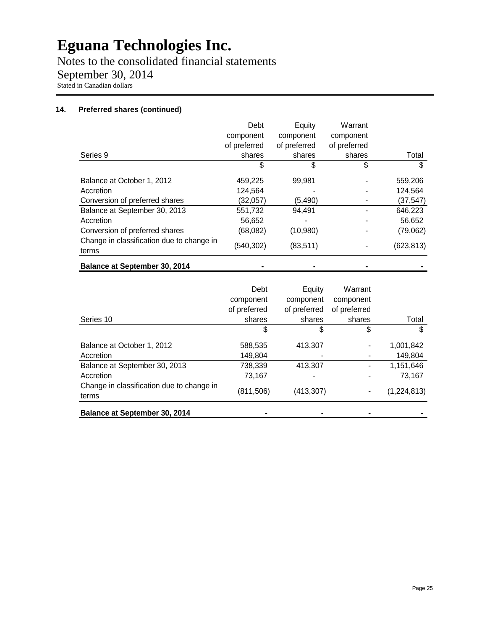Notes to the consolidated financial statements September 30, 2014 Stated in Canadian dollars

|                                                    | Debt                                                     | Equity                 | Warrant           |            |
|----------------------------------------------------|----------------------------------------------------------|------------------------|-------------------|------------|
|                                                    | component                                                | component              | component         |            |
|                                                    | of preferred                                             | of preferred           | of preferred      |            |
| Series 9                                           | shares                                                   | shares                 | shares            | Total      |
|                                                    | S                                                        | \$                     | \$                | \$         |
| Balance at October 1, 2012                         | 459,225                                                  | 99,981                 |                   | 559,206    |
| Accretion                                          | 124,564                                                  |                        |                   | 124,564    |
| Conversion of preferred shares                     | (32,057)                                                 | (5,490)                |                   | (37, 547)  |
| Balance at September 30, 2013                      | 551,732                                                  | 94,491                 |                   | 646,223    |
| Accretion                                          | 56,652                                                   |                        |                   | 56,652     |
| Conversion of preferred shares                     | (68,082)                                                 | (10,980)               |                   | (79,062)   |
| Change in classification due to change in<br>terms | (540, 302)                                               | (83, 511)              |                   | (623, 813) |
| <b>Balance at September 30, 2014</b>               |                                                          |                        |                   |            |
|                                                    | Debt<br>$\sim$ $\sim$ $\sim$ $\sim$ $\sim$ $\sim$ $\sim$ | Equity<br>$\sim$ means | Warrant<br>$\sim$ |            |

|                                           | DEDI         | ⊏yully       | <u>vvallalli</u> |             |
|-------------------------------------------|--------------|--------------|------------------|-------------|
|                                           | component    | component    | component        |             |
|                                           | of preferred | of preferred | of preferred     |             |
| Series 10                                 | shares       | shares       | shares           | Total       |
|                                           | \$           | S            | \$               | S           |
| Balance at October 1, 2012                | 588,535      | 413,307      |                  | 1,001,842   |
| Accretion                                 | 149,804      |              |                  | 149,804     |
| Balance at September 30, 2013             | 738,339      | 413,307      |                  | 1,151,646   |
| Accretion                                 | 73,167       |              |                  | 73,167      |
| Change in classification due to change in |              |              |                  |             |
| terms                                     | (811,506)    | (413, 307)   |                  | (1,224,813) |
| <b>Balance at September 30, 2014</b>      |              |              |                  |             |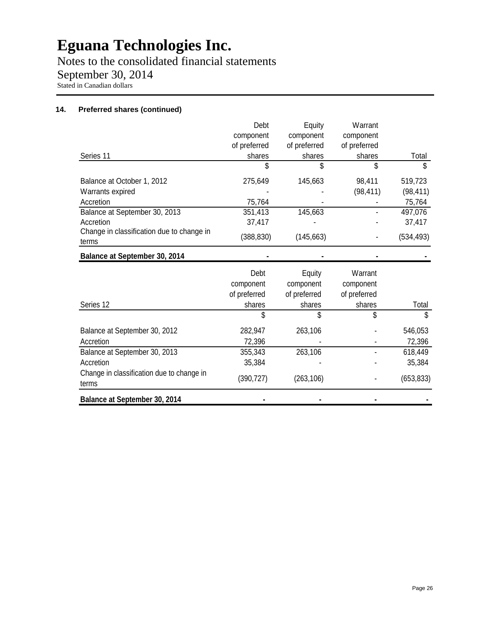Notes to the consolidated financial statements September 30, 2014 Stated in Canadian dollars

|                                                    | Debt         | Equity              | Warrant      |            |
|----------------------------------------------------|--------------|---------------------|--------------|------------|
|                                                    | component    | component           | component    |            |
|                                                    | of preferred | of preferred        | of preferred |            |
| Series 11                                          | shares       | shares              | shares       | Total      |
|                                                    | \$           | \$                  | \$           | \$         |
| Balance at October 1, 2012                         | 275,649      | 145,663             | 98,411       | 519,723    |
| Warrants expired                                   |              |                     | (98, 411)    | (98, 411)  |
| Accretion                                          | 75,764       |                     |              | 75,764     |
| Balance at September 30, 2013                      | 351,413      | 145,663             |              | 497,076    |
| Accretion                                          | 37,417       |                     |              | 37,417     |
| Change in classification due to change in<br>terms | (388, 830)   | (145, 663)          |              | (534, 493) |
| Balance at September 30, 2014                      |              |                     |              |            |
|                                                    |              |                     |              |            |
|                                                    | Debt         |                     | Warrant      |            |
|                                                    | component    | Equity<br>component | component    |            |
|                                                    | of preferred | of preferred        | of preferred |            |
| Series 12                                          | shares       | shares              | shares       | Total      |
|                                                    | \$           | \$                  | \$           | \$         |
| Balance at September 30, 2012                      | 282,947      | 263,106             |              | 546,053    |
| Accretion                                          | 72,396       |                     |              | 72,396     |
| Balance at September 30, 2013                      | 355,343      | 263,106             |              | 618,449    |
| Accretion                                          | 35,384       |                     |              | 35,384     |
| Change in classification due to change in<br>terms | (390, 727)   | (263, 106)          |              | (653, 833) |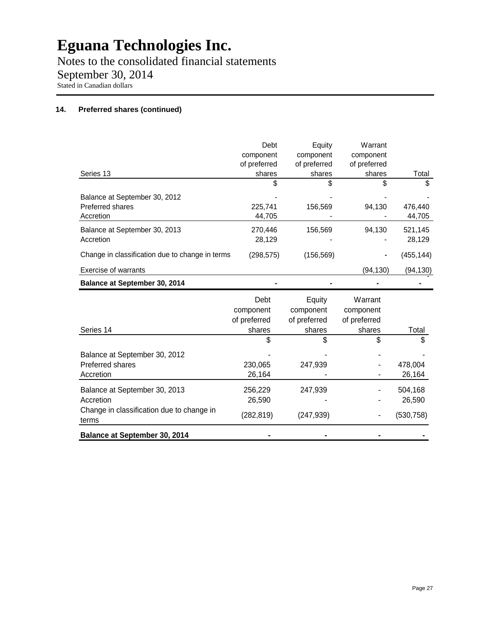Notes to the consolidated financial statements September 30, 2014 Stated in Canadian dollars

|                                                          | Debt                   | Equity                 | Warrant                |                   |
|----------------------------------------------------------|------------------------|------------------------|------------------------|-------------------|
|                                                          | component              | component              | component              |                   |
|                                                          | of preferred           | of preferred           | of preferred           |                   |
| Series 13                                                | shares                 | shares                 | shares                 | Total             |
|                                                          |                        | \$.                    | \$.                    | \$                |
| Balance at September 30, 2012                            |                        |                        |                        |                   |
| Preferred shares                                         | 225,741                | 156,569                | 94,130                 | 476,440           |
| Accretion                                                | 44,705                 |                        |                        | 44,705            |
| Balance at September 30, 2013                            | 270,446                | 156,569                | 94,130                 | 521,145           |
| Accretion                                                | 28,129                 |                        |                        | 28,129            |
| Change in classification due to change in terms          | (298, 575)             | (156, 569)             |                        | (455, 144)        |
| Exercise of warrants                                     |                        |                        | (94, 130)              | (94, 130)         |
|                                                          |                        |                        |                        |                   |
| Balance at September 30, 2014                            |                        |                        |                        |                   |
|                                                          | Debt                   |                        | Warrant                |                   |
|                                                          |                        | Equity                 |                        |                   |
|                                                          | component              | component              | component              |                   |
|                                                          | of preferred<br>shares | of preferred<br>shares | of preferred<br>shares |                   |
| Series 14                                                | \$                     | \$                     | \$                     | Total             |
|                                                          |                        |                        |                        |                   |
| Balance at September 30, 2012<br><b>Preferred shares</b> | 230,065                |                        |                        | 478,004           |
| Accretion                                                | 26,164                 | 247,939                |                        | 26,164            |
|                                                          |                        |                        |                        |                   |
| Balance at September 30, 2013<br>Accretion               | 256,229<br>26,590      | 247,939                |                        | 504,168<br>26,590 |
| Change in classification due to change in<br>terms       | (282, 819)             | (247, 939)             |                        | (530, 758)        |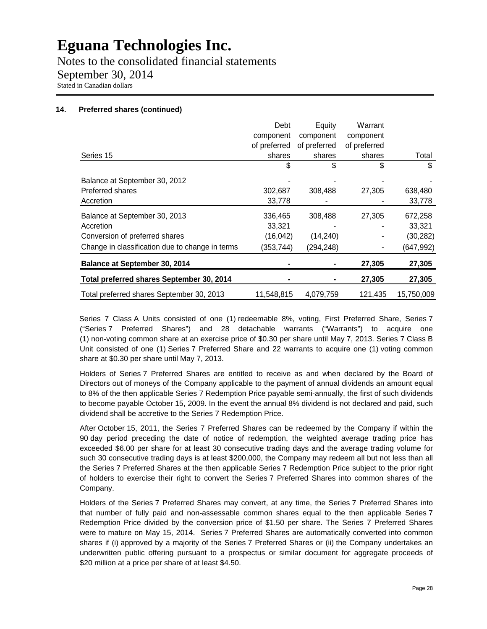Notes to the consolidated financial statements September 30, 2014 Stated in Canadian dollars

### **14. Preferred shares (continued)**

|                                                 | Debt         | Equity       | Warrant      |            |
|-------------------------------------------------|--------------|--------------|--------------|------------|
|                                                 | component    | component    | component    |            |
|                                                 | of preferred | of preferred | of preferred |            |
| Series 15                                       | shares       | shares       | shares       | Total      |
|                                                 | \$           | \$           | \$           | S          |
| Balance at September 30, 2012                   |              |              |              |            |
| Preferred shares                                | 302,687      | 308,488      | 27,305       | 638,480    |
| Accretion                                       | 33,778       |              |              | 33,778     |
| Balance at September 30, 2013                   | 336,465      | 308,488      | 27,305       | 672,258    |
| Accretion                                       | 33,321       |              |              | 33,321     |
| Conversion of preferred shares                  | (16, 042)    | (14,240)     |              | (30, 282)  |
| Change in classification due to change in terms | (353, 744)   | (294, 248)   |              | (647, 992) |
| <b>Balance at September 30, 2014</b>            |              |              | 27,305       | 27,305     |
| Total preferred shares September 30, 2014       |              |              | 27,305       | 27,305     |
| Total preferred shares September 30, 2013       | 11.548.815   | 4.079.759    | 121,435      | 15.750.009 |

Series 7 Class A Units consisted of one (1) redeemable 8%, voting, First Preferred Share, Series 7 ("Series 7 Preferred Shares") and 28 detachable warrants ("Warrants") to acquire one (1) non-voting common share at an exercise price of \$0.30 per share until May 7, 2013. Series 7 Class B Unit consisted of one (1) Series 7 Preferred Share and 22 warrants to acquire one (1) voting common share at \$0.30 per share until May 7, 2013.

Holders of Series 7 Preferred Shares are entitled to receive as and when declared by the Board of Directors out of moneys of the Company applicable to the payment of annual dividends an amount equal to 8% of the then applicable Series 7 Redemption Price payable semi-annually, the first of such dividends to become payable October 15, 2009. In the event the annual 8% dividend is not declared and paid, such dividend shall be accretive to the Series 7 Redemption Price.

After October 15, 2011, the Series 7 Preferred Shares can be redeemed by the Company if within the 90 day period preceding the date of notice of redemption, the weighted average trading price has exceeded \$6.00 per share for at least 30 consecutive trading days and the average trading volume for such 30 consecutive trading days is at least \$200,000, the Company may redeem all but not less than all the Series 7 Preferred Shares at the then applicable Series 7 Redemption Price subject to the prior right of holders to exercise their right to convert the Series 7 Preferred Shares into common shares of the Company.

Holders of the Series 7 Preferred Shares may convert, at any time, the Series 7 Preferred Shares into that number of fully paid and non-assessable common shares equal to the then applicable Series 7 Redemption Price divided by the conversion price of \$1.50 per share. The Series 7 Preferred Shares were to mature on May 15, 2014. Series 7 Preferred Shares are automatically converted into common shares if (i) approved by a majority of the Series 7 Preferred Shares or (ii) the Company undertakes an underwritten public offering pursuant to a prospectus or similar document for aggregate proceeds of \$20 million at a price per share of at least \$4.50.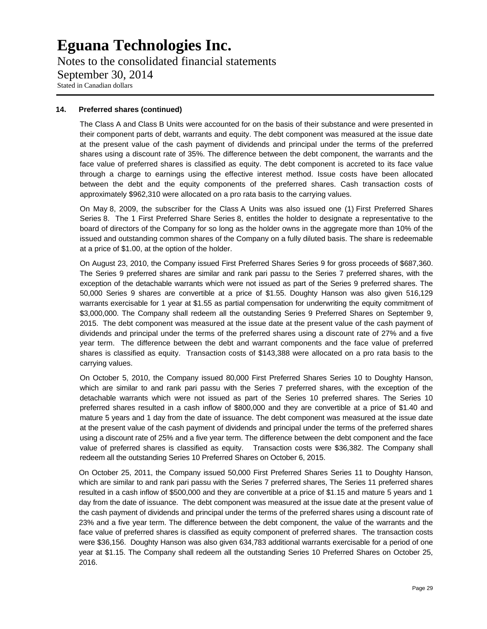Notes to the consolidated financial statements September 30, 2014 Stated in Canadian dollars

#### **14. Preferred shares (continued)**

The Class A and Class B Units were accounted for on the basis of their substance and were presented in their component parts of debt, warrants and equity. The debt component was measured at the issue date at the present value of the cash payment of dividends and principal under the terms of the preferred shares using a discount rate of 35%. The difference between the debt component, the warrants and the face value of preferred shares is classified as equity. The debt component is accreted to its face value through a charge to earnings using the effective interest method. Issue costs have been allocated between the debt and the equity components of the preferred shares. Cash transaction costs of approximately \$962,310 were allocated on a pro rata basis to the carrying values.

On May 8, 2009, the subscriber for the Class A Units was also issued one (1) First Preferred Shares Series 8. The 1 First Preferred Share Series 8, entitles the holder to designate a representative to the board of directors of the Company for so long as the holder owns in the aggregate more than 10% of the issued and outstanding common shares of the Company on a fully diluted basis. The share is redeemable at a price of \$1.00, at the option of the holder.

On August 23, 2010, the Company issued First Preferred Shares Series 9 for gross proceeds of \$687,360. The Series 9 preferred shares are similar and rank pari passu to the Series 7 preferred shares, with the exception of the detachable warrants which were not issued as part of the Series 9 preferred shares. The 50,000 Series 9 shares are convertible at a price of \$1.55. Doughty Hanson was also given 516,129 warrants exercisable for 1 year at \$1.55 as partial compensation for underwriting the equity commitment of \$3,000,000. The Company shall redeem all the outstanding Series 9 Preferred Shares on September 9, 2015. The debt component was measured at the issue date at the present value of the cash payment of dividends and principal under the terms of the preferred shares using a discount rate of 27% and a five year term. The difference between the debt and warrant components and the face value of preferred shares is classified as equity. Transaction costs of \$143,388 were allocated on a pro rata basis to the carrying values.

On October 5, 2010, the Company issued 80,000 First Preferred Shares Series 10 to Doughty Hanson, which are similar to and rank pari passu with the Series 7 preferred shares, with the exception of the detachable warrants which were not issued as part of the Series 10 preferred shares. The Series 10 preferred shares resulted in a cash inflow of \$800,000 and they are convertible at a price of \$1.40 and mature 5 years and 1 day from the date of issuance. The debt component was measured at the issue date at the present value of the cash payment of dividends and principal under the terms of the preferred shares using a discount rate of 25% and a five year term. The difference between the debt component and the face value of preferred shares is classified as equity. Transaction costs were \$36,382. The Company shall redeem all the outstanding Series 10 Preferred Shares on October 6, 2015.

On October 25, 2011, the Company issued 50,000 First Preferred Shares Series 11 to Doughty Hanson, which are similar to and rank pari passu with the Series 7 preferred shares, The Series 11 preferred shares resulted in a cash inflow of \$500,000 and they are convertible at a price of \$1.15 and mature 5 years and 1 day from the date of issuance. The debt component was measured at the issue date at the present value of the cash payment of dividends and principal under the terms of the preferred shares using a discount rate of 23% and a five year term. The difference between the debt component, the value of the warrants and the face value of preferred shares is classified as equity component of preferred shares. The transaction costs were \$36,156. Doughty Hanson was also given 634,783 additional warrants exercisable for a period of one year at \$1.15. The Company shall redeem all the outstanding Series 10 Preferred Shares on October 25, 2016.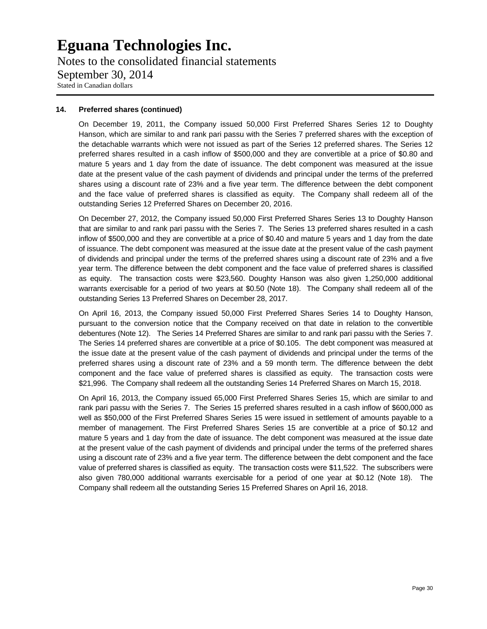Notes to the consolidated financial statements September 30, 2014 Stated in Canadian dollars

#### **14. Preferred shares (continued)**

On December 19, 2011, the Company issued 50,000 First Preferred Shares Series 12 to Doughty Hanson, which are similar to and rank pari passu with the Series 7 preferred shares with the exception of the detachable warrants which were not issued as part of the Series 12 preferred shares. The Series 12 preferred shares resulted in a cash inflow of \$500,000 and they are convertible at a price of \$0.80 and mature 5 years and 1 day from the date of issuance. The debt component was measured at the issue date at the present value of the cash payment of dividends and principal under the terms of the preferred shares using a discount rate of 23% and a five year term. The difference between the debt component and the face value of preferred shares is classified as equity. The Company shall redeem all of the outstanding Series 12 Preferred Shares on December 20, 2016.

On December 27, 2012, the Company issued 50,000 First Preferred Shares Series 13 to Doughty Hanson that are similar to and rank pari passu with the Series 7. The Series 13 preferred shares resulted in a cash inflow of \$500,000 and they are convertible at a price of \$0.40 and mature 5 years and 1 day from the date of issuance. The debt component was measured at the issue date at the present value of the cash payment of dividends and principal under the terms of the preferred shares using a discount rate of 23% and a five year term. The difference between the debt component and the face value of preferred shares is classified as equity. The transaction costs were \$23,560. Doughty Hanson was also given 1,250,000 additional warrants exercisable for a period of two years at \$0.50 (Note 18). The Company shall redeem all of the outstanding Series 13 Preferred Shares on December 28, 2017.

On April 16, 2013, the Company issued 50,000 First Preferred Shares Series 14 to Doughty Hanson, pursuant to the conversion notice that the Company received on that date in relation to the convertible debentures (Note 12). The Series 14 Preferred Shares are similar to and rank pari passu with the Series 7. The Series 14 preferred shares are convertible at a price of \$0.105. The debt component was measured at the issue date at the present value of the cash payment of dividends and principal under the terms of the preferred shares using a discount rate of 23% and a 59 month term. The difference between the debt component and the face value of preferred shares is classified as equity. The transaction costs were \$21,996. The Company shall redeem all the outstanding Series 14 Preferred Shares on March 15, 2018.

On April 16, 2013, the Company issued 65,000 First Preferred Shares Series 15, which are similar to and rank pari passu with the Series 7. The Series 15 preferred shares resulted in a cash inflow of \$600,000 as well as \$50,000 of the First Preferred Shares Series 15 were issued in settlement of amounts payable to a member of management. The First Preferred Shares Series 15 are convertible at a price of \$0.12 and mature 5 years and 1 day from the date of issuance. The debt component was measured at the issue date at the present value of the cash payment of dividends and principal under the terms of the preferred shares using a discount rate of 23% and a five year term. The difference between the debt component and the face value of preferred shares is classified as equity. The transaction costs were \$11,522. The subscribers were also given 780,000 additional warrants exercisable for a period of one year at \$0.12 (Note 18). The Company shall redeem all the outstanding Series 15 Preferred Shares on April 16, 2018.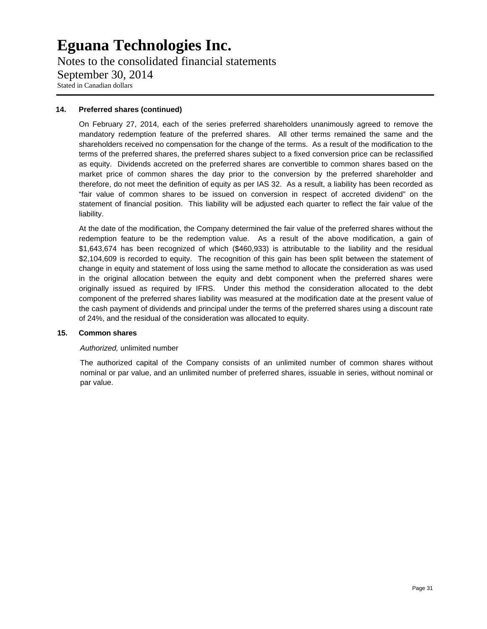Notes to the consolidated financial statements September 30, 2014 Stated in Canadian dollars

#### **14. Preferred shares (continued)**

On February 27, 2014, each of the series preferred shareholders unanimously agreed to remove the mandatory redemption feature of the preferred shares. All other terms remained the same and the shareholders received no compensation for the change of the terms. As a result of the modification to the terms of the preferred shares, the preferred shares subject to a fixed conversion price can be reclassified as equity. Dividends accreted on the preferred shares are convertible to common shares based on the market price of common shares the day prior to the conversion by the preferred shareholder and therefore, do not meet the definition of equity as per IAS 32. As a result, a liability has been recorded as "fair value of common shares to be issued on conversion in respect of accreted dividend" on the statement of financial position. This liability will be adjusted each quarter to reflect the fair value of the liability.

At the date of the modification, the Company determined the fair value of the preferred shares without the redemption feature to be the redemption value. As a result of the above modification, a gain of \$1,643,674 has been recognized of which (\$460,933) is attributable to the liability and the residual \$2,104,609 is recorded to equity. The recognition of this gain has been split between the statement of change in equity and statement of loss using the same method to allocate the consideration as was used in the original allocation between the equity and debt component when the preferred shares were originally issued as required by IFRS. Under this method the consideration allocated to the debt component of the preferred shares liability was measured at the modification date at the present value of the cash payment of dividends and principal under the terms of the preferred shares using a discount rate of 24%, and the residual of the consideration was allocated to equity.

#### **15. Common shares**

#### *Authorized,* unlimited number

The authorized capital of the Company consists of an unlimited number of common shares without nominal or par value, and an unlimited number of preferred shares, issuable in series, without nominal or par value.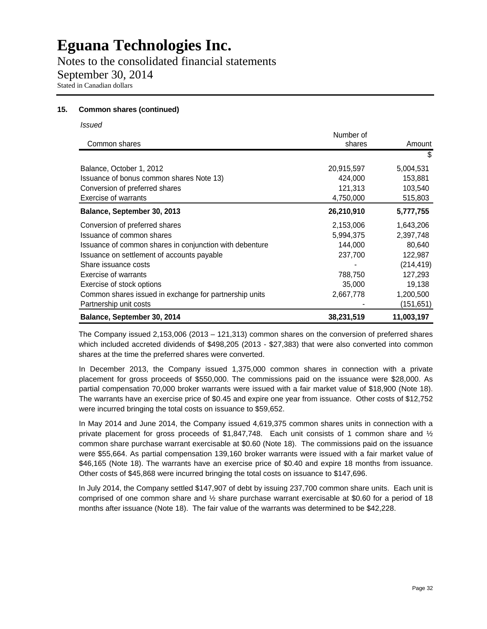Notes to the consolidated financial statements September 30, 2014 Stated in Canadian dollars

### **15. Common shares (continued)**

*Issued* 

|                                                         | Number of  |            |
|---------------------------------------------------------|------------|------------|
| Common shares                                           | shares     | Amount     |
|                                                         |            | S          |
| Balance, October 1, 2012                                | 20,915,597 | 5,004,531  |
| Issuance of bonus common shares Note 13)                | 424,000    | 153,881    |
| Conversion of preferred shares                          | 121,313    | 103,540    |
| <b>Exercise of warrants</b>                             | 4,750,000  | 515,803    |
| Balance, September 30, 2013                             | 26,210,910 | 5,777,755  |
| Conversion of preferred shares                          | 2,153,006  | 1,643,206  |
| Issuance of common shares                               | 5,994,375  | 2,397,748  |
| Issuance of common shares in conjunction with debenture | 144.000    | 80,640     |
| Issuance on settlement of accounts payable              | 237,700    | 122,987    |
| Share issuance costs                                    |            | (214, 419) |
| Exercise of warrants                                    | 788,750    | 127,293    |
| Exercise of stock options                               | 35,000     | 19,138     |
| Common shares issued in exchange for partnership units  | 2,667,778  | 1,200,500  |
| Partnership unit costs                                  |            | (151, 651) |
| Balance, September 30, 2014                             | 38,231,519 | 11,003,197 |

The Company issued 2,153,006 (2013 – 121,313) common shares on the conversion of preferred shares which included accreted dividends of \$498,205 (2013 - \$27,383) that were also converted into common shares at the time the preferred shares were converted.

In December 2013, the Company issued 1,375,000 common shares in connection with a private placement for gross proceeds of \$550,000. The commissions paid on the issuance were \$28,000. As partial compensation 70,000 broker warrants were issued with a fair market value of \$18,900 (Note 18). The warrants have an exercise price of \$0.45 and expire one year from issuance. Other costs of \$12,752 were incurred bringing the total costs on issuance to \$59,652.

In May 2014 and June 2014, the Company issued 4,619,375 common shares units in connection with a private placement for gross proceeds of \$1,847,748. Each unit consists of 1 common share and  $\frac{1}{2}$ common share purchase warrant exercisable at \$0.60 (Note 18). The commissions paid on the issuance were \$55,664. As partial compensation 139,160 broker warrants were issued with a fair market value of \$46,165 (Note 18). The warrants have an exercise price of \$0.40 and expire 18 months from issuance. Other costs of \$45,868 were incurred bringing the total costs on issuance to \$147,696.

In July 2014, the Company settled \$147,907 of debt by issuing 237,700 common share units. Each unit is comprised of one common share and ½ share purchase warrant exercisable at \$0.60 for a period of 18 months after issuance (Note 18). The fair value of the warrants was determined to be \$42,228.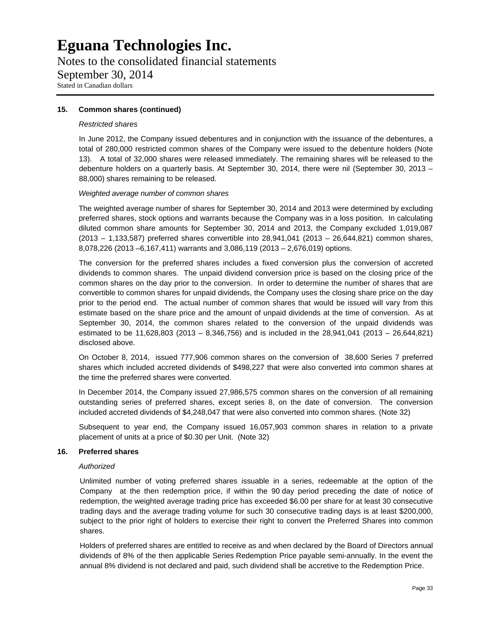Notes to the consolidated financial statements September 30, 2014 Stated in Canadian dollars

#### **15. Common shares (continued)**

#### *Restricted shares*

In June 2012, the Company issued debentures and in conjunction with the issuance of the debentures, a total of 280,000 restricted common shares of the Company were issued to the debenture holders (Note 13). A total of 32,000 shares were released immediately. The remaining shares will be released to the debenture holders on a quarterly basis. At September 30, 2014, there were nil (September 30, 2013 – 88,000) shares remaining to be released.

#### *Weighted average number of common shares*

The weighted average number of shares for September 30, 2014 and 2013 were determined by excluding preferred shares, stock options and warrants because the Company was in a loss position. In calculating diluted common share amounts for September 30, 2014 and 2013, the Company excluded 1,019,087 (2013 – 1,133,587) preferred shares convertible into 28,941,041 (2013 – 26,644,821) common shares, 8,078,226 (2013 –6,167,411) warrants and 3,086,119 (2013 – 2,676,019) options.

The conversion for the preferred shares includes a fixed conversion plus the conversion of accreted dividends to common shares. The unpaid dividend conversion price is based on the closing price of the common shares on the day prior to the conversion. In order to determine the number of shares that are convertible to common shares for unpaid dividends, the Company uses the closing share price on the day prior to the period end. The actual number of common shares that would be issued will vary from this estimate based on the share price and the amount of unpaid dividends at the time of conversion. As at September 30, 2014, the common shares related to the conversion of the unpaid dividends was estimated to be 11,628,803 (2013 – 8,346,756) and is included in the 28,941,041 (2013 – 26,644,821) disclosed above.

On October 8, 2014, issued 777,906 common shares on the conversion of 38,600 Series 7 preferred shares which included accreted dividends of \$498,227 that were also converted into common shares at the time the preferred shares were converted.

In December 2014, the Company issued 27,986,575 common shares on the conversion of all remaining outstanding series of preferred shares, except series 8, on the date of conversion. The conversion included accreted dividends of \$4,248,047 that were also converted into common shares. (Note 32)

Subsequent to year end, the Company issued 16,057,903 common shares in relation to a private placement of units at a price of \$0.30 per Unit. (Note 32)

#### **16. Preferred shares**

#### *Authorized*

Unlimited number of voting preferred shares issuable in a series, redeemable at the option of the Company at the then redemption price, if within the 90 day period preceding the date of notice of redemption, the weighted average trading price has exceeded \$6.00 per share for at least 30 consecutive trading days and the average trading volume for such 30 consecutive trading days is at least \$200,000, subject to the prior right of holders to exercise their right to convert the Preferred Shares into common shares.

Holders of preferred shares are entitled to receive as and when declared by the Board of Directors annual dividends of 8% of the then applicable Series Redemption Price payable semi-annually. In the event the annual 8% dividend is not declared and paid, such dividend shall be accretive to the Redemption Price.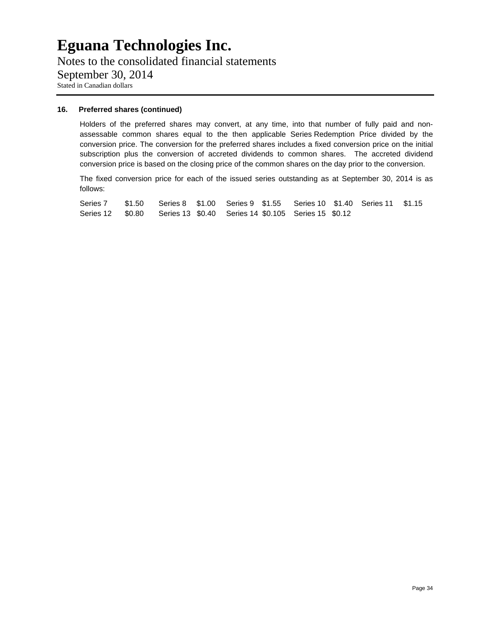Notes to the consolidated financial statements September 30, 2014 Stated in Canadian dollars

#### **16. Preferred shares (continued)**

Holders of the preferred shares may convert, at any time, into that number of fully paid and nonassessable common shares equal to the then applicable Series Redemption Price divided by the conversion price. The conversion for the preferred shares includes a fixed conversion price on the initial subscription plus the conversion of accreted dividends to common shares. The accreted dividend conversion price is based on the closing price of the common shares on the day prior to the conversion.

The fixed conversion price for each of the issued series outstanding as at September 30, 2014 is as follows:

Series 7 \$1.50 Series 8 \$1.00 Series 9 \$1.55 Series 10 \$1.40 Series 11 \$1.15 Series 12 \$0.80 Series 13 \$0.40 Series 14 \$0.105 Series 15 \$0.12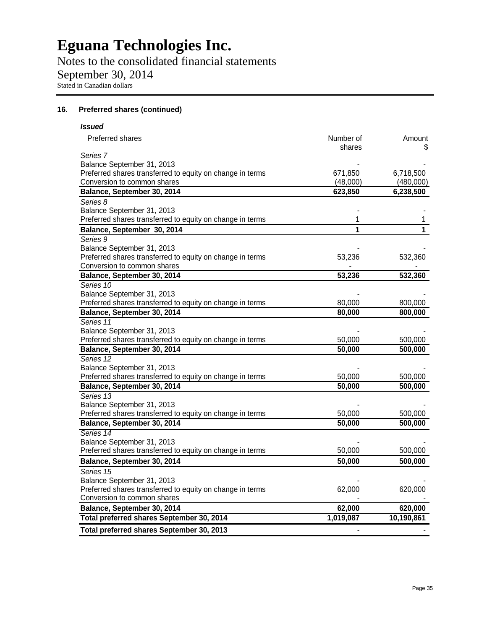Notes to the consolidated financial statements September 30, 2014 Stated in Canadian dollars

| <i><b>Issued</b></i>                                      |                     |             |
|-----------------------------------------------------------|---------------------|-------------|
| <b>Preferred shares</b>                                   | Number of<br>shares | Amount<br>S |
| Series 7                                                  |                     |             |
| Balance September 31, 2013                                |                     |             |
| Preferred shares transferred to equity on change in terms | 671,850             | 6,718,500   |
| Conversion to common shares                               | (48,000)            | (480,000)   |
| Balance, September 30, 2014                               | 623,850             | 6,238,500   |
| Series 8                                                  |                     |             |
| Balance September 31, 2013                                |                     |             |
| Preferred shares transferred to equity on change in terms | 1                   | 1           |
| Balance, September 30, 2014                               | 1                   | 1           |
| Series 9                                                  |                     |             |
| Balance September 31, 2013                                |                     |             |
| Preferred shares transferred to equity on change in terms | 53,236              | 532,360     |
| Conversion to common shares                               |                     |             |
| Balance, September 30, 2014                               | 53,236              | 532,360     |
| Series 10                                                 |                     |             |
| Balance September 31, 2013                                |                     |             |
| Preferred shares transferred to equity on change in terms | 80,000              | 800,000     |
| Balance, September 30, 2014                               | 80,000              | 800,000     |
| Series 11                                                 |                     |             |
| Balance September 31, 2013                                |                     |             |
| Preferred shares transferred to equity on change in terms | 50,000              | 500,000     |
| Balance, September 30, 2014                               | 50,000              | 500,000     |
| Series 12                                                 |                     |             |
| Balance September 31, 2013                                |                     |             |
| Preferred shares transferred to equity on change in terms | 50,000              | 500,000     |
| Balance, September 30, 2014                               | 50,000              | 500,000     |
| Series 13                                                 |                     |             |
| Balance September 31, 2013                                |                     |             |
| Preferred shares transferred to equity on change in terms | 50,000              | 500,000     |
| Balance, September 30, 2014                               | 50,000              | 500,000     |
| Series 14                                                 |                     |             |
| Balance September 31, 2013                                |                     |             |
| Preferred shares transferred to equity on change in terms | 50,000              | 500,000     |
| Balance, September 30, 2014                               | 50,000              | 500,000     |
| Series 15                                                 |                     |             |
| Balance September 31, 2013                                |                     |             |
| Preferred shares transferred to equity on change in terms | 62,000              | 620,000     |
| Conversion to common shares                               |                     |             |
| Balance, September 30, 2014                               | 62,000              | 620,000     |
| Total preferred shares September 30, 2014                 | 1,019,087           | 10,190,861  |
| Total preferred shares September 30, 2013                 |                     |             |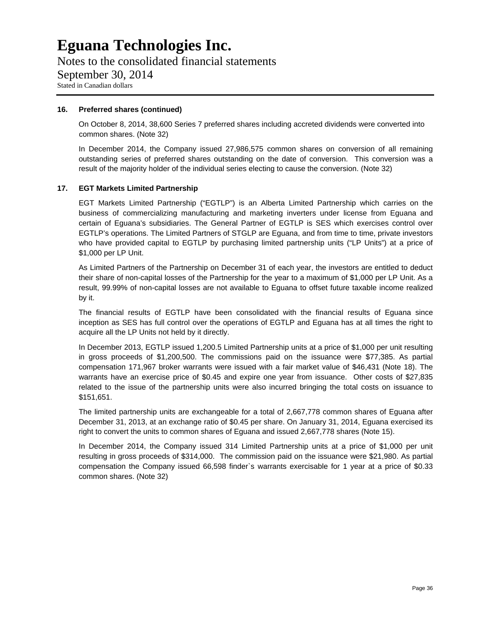Notes to the consolidated financial statements September 30, 2014 Stated in Canadian dollars

#### **16. Preferred shares (continued)**

On October 8, 2014, 38,600 Series 7 preferred shares including accreted dividends were converted into common shares. (Note 32)

In December 2014, the Company issued 27,986,575 common shares on conversion of all remaining outstanding series of preferred shares outstanding on the date of conversion. This conversion was a result of the majority holder of the individual series electing to cause the conversion. (Note 32)

#### **17. EGT Markets Limited Partnership**

EGT Markets Limited Partnership ("EGTLP") is an Alberta Limited Partnership which carries on the business of commercializing manufacturing and marketing inverters under license from Eguana and certain of Eguana's subsidiaries. The General Partner of EGTLP is SES which exercises control over EGTLP's operations. The Limited Partners of STGLP are Eguana, and from time to time, private investors who have provided capital to EGTLP by purchasing limited partnership units ("LP Units") at a price of \$1,000 per LP Unit.

As Limited Partners of the Partnership on December 31 of each year, the investors are entitled to deduct their share of non-capital losses of the Partnership for the year to a maximum of \$1,000 per LP Unit. As a result, 99.99% of non-capital losses are not available to Eguana to offset future taxable income realized by it.

The financial results of EGTLP have been consolidated with the financial results of Eguana since inception as SES has full control over the operations of EGTLP and Eguana has at all times the right to acquire all the LP Units not held by it directly.

In December 2013, EGTLP issued 1,200.5 Limited Partnership units at a price of \$1,000 per unit resulting in gross proceeds of \$1,200,500. The commissions paid on the issuance were \$77,385. As partial compensation 171,967 broker warrants were issued with a fair market value of \$46,431 (Note 18). The warrants have an exercise price of \$0.45 and expire one year from issuance. Other costs of \$27,835 related to the issue of the partnership units were also incurred bringing the total costs on issuance to \$151,651.

The limited partnership units are exchangeable for a total of 2,667,778 common shares of Eguana after December 31, 2013, at an exchange ratio of \$0.45 per share. On January 31, 2014, Eguana exercised its right to convert the units to common shares of Eguana and issued 2,667,778 shares (Note 15).

In December 2014, the Company issued 314 Limited Partnership units at a price of \$1,000 per unit resulting in gross proceeds of \$314,000. The commission paid on the issuance were \$21,980. As partial compensation the Company issued 66,598 finder`s warrants exercisable for 1 year at a price of \$0.33 common shares. (Note 32)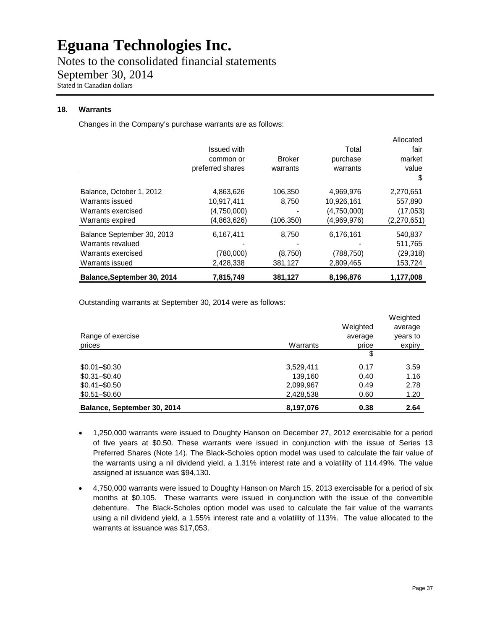Notes to the consolidated financial statements September 30, 2014 Stated in Canadian dollars

#### **18. Warrants**

Changes in the Company's purchase warrants are as follows:

|                             |                    |               |             | Allocated     |
|-----------------------------|--------------------|---------------|-------------|---------------|
|                             | <b>Issued with</b> |               | Total       | fair          |
|                             | common or          | <b>Broker</b> | purchase    | market        |
|                             | preferred shares   | warrants      | warrants    | value         |
|                             |                    |               |             | S             |
| Balance, October 1, 2012    | 4,863,626          | 106,350       | 4,969,976   | 2,270,651     |
| Warrants issued             | 10.917.411         | 8.750         | 10,926,161  | 557,890       |
| Warrants exercised          | (4,750,000)        |               | (4,750,000) | (17,053)      |
| Warrants expired            | (4,863,626)        | (106,350)     | (4.969.976) | (2, 270, 651) |
| Balance September 30, 2013  | 6,167,411          | 8,750         | 6,176,161   | 540,837       |
| Warrants revalued           |                    |               |             | 511,765       |
| Warrants exercised          | (780,000)          | (8,750)       | (788, 750)  | (29, 318)     |
| Warrants issued             | 2,428,338          | 381,127       | 2,809,465   | 153,724       |
| Balance, September 30, 2014 | 7,815,749          | 381.127       | 8,196,876   | 1,177,008     |

Outstanding warrants at September 30, 2014 were as follows:

|                             |           |          | Weighted |
|-----------------------------|-----------|----------|----------|
|                             |           | Weighted | average  |
| Range of exercise           |           | average  | years to |
| prices                      | Warrants  | price    | expiry   |
|                             |           | \$       |          |
| $$0.01 - $0.30$             | 3,529,411 | 0.17     | 3.59     |
| $$0.31 - $0.40$             | 139.160   | 0.40     | 1.16     |
| $$0.41 - $0.50$             | 2,099,967 | 0.49     | 2.78     |
| $$0.51 - $0.60$             | 2,428,538 | 0.60     | 1.20     |
| Balance, September 30, 2014 | 8,197,076 | 0.38     | 2.64     |

- 1,250,000 warrants were issued to Doughty Hanson on December 27, 2012 exercisable for a period of five years at \$0.50. These warrants were issued in conjunction with the issue of Series 13 Preferred Shares (Note 14). The Black-Scholes option model was used to calculate the fair value of the warrants using a nil dividend yield, a 1.31% interest rate and a volatility of 114.49%. The value assigned at issuance was \$94,130.
- 4,750,000 warrants were issued to Doughty Hanson on March 15, 2013 exercisable for a period of six months at \$0.105. These warrants were issued in conjunction with the issue of the convertible debenture. The Black-Scholes option model was used to calculate the fair value of the warrants using a nil dividend yield, a 1.55% interest rate and a volatility of 113%. The value allocated to the warrants at issuance was \$17,053.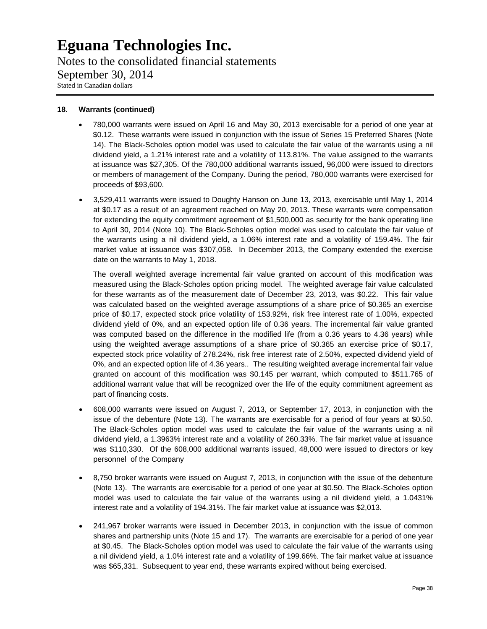Notes to the consolidated financial statements September 30, 2014 Stated in Canadian dollars

#### **18. Warrants (continued)**

- 780,000 warrants were issued on April 16 and May 30, 2013 exercisable for a period of one year at \$0.12. These warrants were issued in conjunction with the issue of Series 15 Preferred Shares (Note 14). The Black-Scholes option model was used to calculate the fair value of the warrants using a nil dividend yield, a 1.21% interest rate and a volatility of 113.81%. The value assigned to the warrants at issuance was \$27,305. Of the 780,000 additional warrants issued, 96,000 were issued to directors or members of management of the Company. During the period, 780,000 warrants were exercised for proceeds of \$93,600.
- 3,529,411 warrants were issued to Doughty Hanson on June 13, 2013, exercisable until May 1, 2014 at \$0.17 as a result of an agreement reached on May 20, 2013. These warrants were compensation for extending the equity commitment agreement of \$1,500,000 as security for the bank operating line to April 30, 2014 (Note 10). The Black-Scholes option model was used to calculate the fair value of the warrants using a nil dividend yield, a 1.06% interest rate and a volatility of 159.4%. The fair market value at issuance was \$307,058. In December 2013, the Company extended the exercise date on the warrants to May 1, 2018.

The overall weighted average incremental fair value granted on account of this modification was measured using the Black-Scholes option pricing model. The weighted average fair value calculated for these warrants as of the measurement date of December 23, 2013, was \$0.22. This fair value was calculated based on the weighted average assumptions of a share price of \$0.365 an exercise price of \$0.17, expected stock price volatility of 153.92%, risk free interest rate of 1.00%, expected dividend yield of 0%, and an expected option life of 0.36 years. The incremental fair value granted was computed based on the difference in the modified life (from a 0.36 years to 4.36 years) while using the weighted average assumptions of a share price of \$0.365 an exercise price of \$0.17, expected stock price volatility of 278.24%, risk free interest rate of 2.50%, expected dividend yield of 0%, and an expected option life of 4.36 years.. The resulting weighted average incremental fair value granted on account of this modification was \$0.145 per warrant, which computed to \$511.765 of additional warrant value that will be recognized over the life of the equity commitment agreement as part of financing costs.

- 608,000 warrants were issued on August 7, 2013, or September 17, 2013, in conjunction with the issue of the debenture (Note 13). The warrants are exercisable for a period of four years at \$0.50. The Black-Scholes option model was used to calculate the fair value of the warrants using a nil dividend yield, a 1.3963% interest rate and a volatility of 260.33%. The fair market value at issuance was \$110,330. Of the 608,000 additional warrants issued, 48,000 were issued to directors or key personnel of the Company
- 8,750 broker warrants were issued on August 7, 2013, in conjunction with the issue of the debenture (Note 13). The warrants are exercisable for a period of one year at \$0.50. The Black-Scholes option model was used to calculate the fair value of the warrants using a nil dividend yield, a 1.0431% interest rate and a volatility of 194.31%. The fair market value at issuance was \$2,013.
- 241,967 broker warrants were issued in December 2013, in conjunction with the issue of common shares and partnership units (Note 15 and 17). The warrants are exercisable for a period of one year at \$0.45. The Black-Scholes option model was used to calculate the fair value of the warrants using a nil dividend yield, a 1.0% interest rate and a volatility of 199.66%. The fair market value at issuance was \$65,331. Subsequent to year end, these warrants expired without being exercised.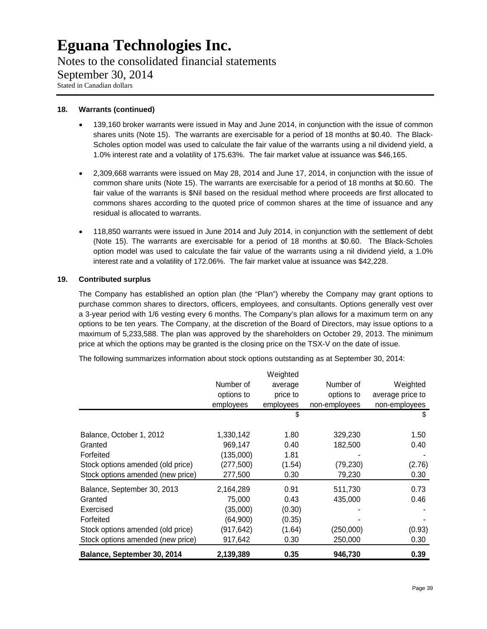Notes to the consolidated financial statements September 30, 2014 Stated in Canadian dollars

#### **18. Warrants (continued)**

- 139,160 broker warrants were issued in May and June 2014, in conjunction with the issue of common shares units (Note 15). The warrants are exercisable for a period of 18 months at \$0.40. The Black-Scholes option model was used to calculate the fair value of the warrants using a nil dividend yield, a 1.0% interest rate and a volatility of 175.63%. The fair market value at issuance was \$46,165.
- 2,309,668 warrants were issued on May 28, 2014 and June 17, 2014, in conjunction with the issue of common share units (Note 15). The warrants are exercisable for a period of 18 months at \$0.60. The fair value of the warrants is \$Nil based on the residual method where proceeds are first allocated to commons shares according to the quoted price of common shares at the time of issuance and any residual is allocated to warrants.
- 118,850 warrants were issued in June 2014 and July 2014, in conjunction with the settlement of debt (Note 15). The warrants are exercisable for a period of 18 months at \$0.60. The Black-Scholes option model was used to calculate the fair value of the warrants using a nil dividend yield, a 1.0% interest rate and a volatility of 172.06%. The fair market value at issuance was \$42,228.

### **19. Contributed surplus**

The Company has established an option plan (the "Plan") whereby the Company may grant options to purchase common shares to directors, officers, employees, and consultants. Options generally vest over a 3-year period with 1/6 vesting every 6 months. The Company's plan allows for a maximum term on any options to be ten years. The Company, at the discretion of the Board of Directors, may issue options to a maximum of 5,233,588. The plan was approved by the shareholders on October 29, 2013. The minimum price at which the options may be granted is the closing price on the TSX-V on the date of issue.

|                                     | Number of<br>options to<br>employees | Weighted<br>average<br>price to<br>employees | Number of<br>options to<br>non-employees | Weighted<br>average price to<br>non-employees |
|-------------------------------------|--------------------------------------|----------------------------------------------|------------------------------------------|-----------------------------------------------|
|                                     |                                      | \$                                           |                                          | \$                                            |
| Balance, October 1, 2012<br>Granted | 1,330,142<br>969,147                 | 1.80<br>0.40                                 | 329,230<br>182,500                       | 1.50<br>0.40                                  |
| Forfeited                           | (135,000)                            | 1.81                                         |                                          |                                               |
| Stock options amended (old price)   | (277,500)                            | (1.54)                                       | (79, 230)                                | (2.76)                                        |
| Stock options amended (new price)   | 277,500                              | 0.30                                         | 79,230                                   | 0.30                                          |
| Balance, September 30, 2013         | 2,164,289                            | 0.91                                         | 511,730                                  | 0.73                                          |
| Granted<br>Exercised                | 75.000<br>(35,000)                   | 0.43<br>(0.30)                               | 435,000                                  | 0.46                                          |
| Forfeited                           | (64,900)                             | (0.35)                                       |                                          |                                               |
| Stock options amended (old price)   | (917, 642)                           | (1.64)                                       | (250,000)                                | (0.93)                                        |
| Stock options amended (new price)   | 917,642                              | 0.30                                         | 250,000                                  | 0.30                                          |
| Balance, September 30, 2014         | 2,139,389                            | 0.35                                         | 946,730                                  | 0.39                                          |

The following summarizes information about stock options outstanding as at September 30, 2014: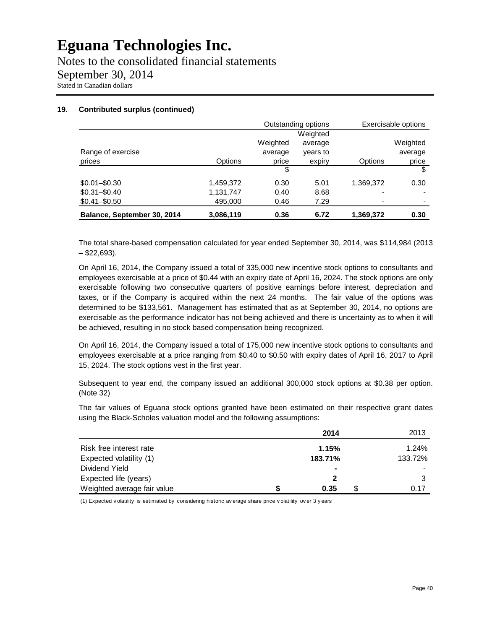Notes to the consolidated financial statements September 30, 2014 Stated in Canadian dollars

#### **19. Contributed surplus (continued)**

|                             |           | Outstanding options |          |           | Exercisable options |
|-----------------------------|-----------|---------------------|----------|-----------|---------------------|
|                             |           |                     | Weighted |           |                     |
|                             |           | Weighted            | average  |           | Weighted            |
| Range of exercise           |           | average             | years to |           | average             |
| prices                      | Options   | price               | expiry   | Options   | price               |
|                             |           | \$                  |          |           |                     |
| $$0.01 - $0.30$             | 1,459,372 | 0.30                | 5.01     | 1.369.372 | 0.30                |
| $$0.31 - $0.40$             | 1,131,747 | 0.40                | 8.68     |           |                     |
| $$0.41 - $0.50$             | 495,000   | 0.46                | 7.29     |           |                     |
| Balance, September 30, 2014 | 3,086,119 | 0.36                | 6.72     | 1,369,372 | 0.30                |

The total share-based compensation calculated for year ended September 30, 2014, was \$114,984 (2013  $-$  \$22,693).

On April 16, 2014, the Company issued a total of 335,000 new incentive stock options to consultants and employees exercisable at a price of \$0.44 with an expiry date of April 16, 2024. The stock options are only exercisable following two consecutive quarters of positive earnings before interest, depreciation and taxes, or if the Company is acquired within the next 24 months. The fair value of the options was determined to be \$133,561. Management has estimated that as at September 30, 2014, no options are exercisable as the performance indicator has not being achieved and there is uncertainty as to when it will be achieved, resulting in no stock based compensation being recognized.

On April 16, 2014, the Company issued a total of 175,000 new incentive stock options to consultants and employees exercisable at a price ranging from \$0.40 to \$0.50 with expiry dates of April 16, 2017 to April 15, 2024. The stock options vest in the first year.

Subsequent to year end, the company issued an additional 300,000 stock options at \$0.38 per option. (Note 32)

The fair values of Eguana stock options granted have been estimated on their respective grant dates using the Black-Scholes valuation model and the following assumptions:

|                             |         | 2014  |  | 2013    |
|-----------------------------|---------|-------|--|---------|
| Risk free interest rate     |         | 1.15% |  | 1.24%   |
| Expected volatility (1)     | 183.71% |       |  | 133.72% |
| Dividend Yield              | ۰       |       |  |         |
| Expected life (years)       |         |       |  | 3       |
| Weighted average fair value |         | 0.35  |  | 0.17    |

(1) Expected volatility is estimated by considering historic av erage share price v olatility ov er 3 y ears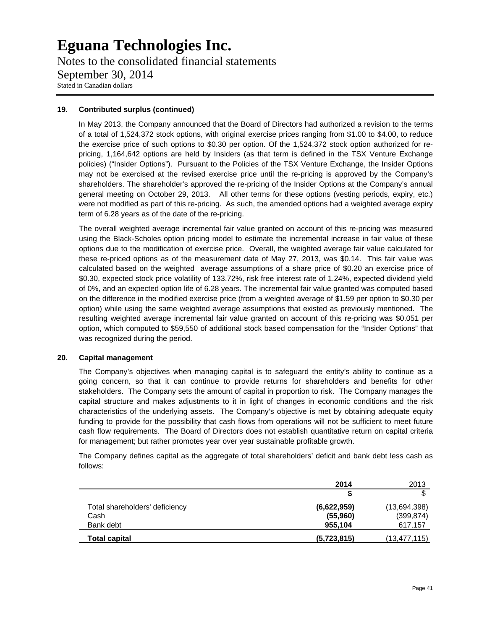Notes to the consolidated financial statements September 30, 2014 Stated in Canadian dollars

### **19. Contributed surplus (continued)**

In May 2013, the Company announced that the Board of Directors had authorized a revision to the terms of a total of 1,524,372 stock options, with original exercise prices ranging from \$1.00 to \$4.00, to reduce the exercise price of such options to \$0.30 per option. Of the 1,524,372 stock option authorized for repricing, 1,164,642 options are held by Insiders (as that term is defined in the TSX Venture Exchange policies) ("Insider Options"). Pursuant to the Policies of the TSX Venture Exchange, the Insider Options may not be exercised at the revised exercise price until the re-pricing is approved by the Company's shareholders. The shareholder's approved the re-pricing of the Insider Options at the Company's annual general meeting on October 29, 2013. All other terms for these options (vesting periods, expiry, etc.) were not modified as part of this re-pricing. As such, the amended options had a weighted average expiry term of 6.28 years as of the date of the re-pricing.

The overall weighted average incremental fair value granted on account of this re-pricing was measured using the Black-Scholes option pricing model to estimate the incremental increase in fair value of these options due to the modification of exercise price. Overall, the weighted average fair value calculated for these re-priced options as of the measurement date of May 27, 2013, was \$0.14. This fair value was calculated based on the weighted average assumptions of a share price of \$0.20 an exercise price of \$0.30, expected stock price volatility of 133.72%, risk free interest rate of 1.24%, expected dividend yield of 0%, and an expected option life of 6.28 years. The incremental fair value granted was computed based on the difference in the modified exercise price (from a weighted average of \$1.59 per option to \$0.30 per option) while using the same weighted average assumptions that existed as previously mentioned. The resulting weighted average incremental fair value granted on account of this re-pricing was \$0.051 per option, which computed to \$59,550 of additional stock based compensation for the "Insider Options" that was recognized during the period.

#### **20. Capital management**

The Company's objectives when managing capital is to safeguard the entity's ability to continue as a going concern, so that it can continue to provide returns for shareholders and benefits for other stakeholders. The Company sets the amount of capital in proportion to risk. The Company manages the capital structure and makes adjustments to it in light of changes in economic conditions and the risk characteristics of the underlying assets. The Company's objective is met by obtaining adequate equity funding to provide for the possibility that cash flows from operations will not be sufficient to meet future cash flow requirements. The Board of Directors does not establish quantitative return on capital criteria for management; but rather promotes year over year sustainable profitable growth.

The Company defines capital as the aggregate of total shareholders' deficit and bank debt less cash as follows:

|                                | 2014        | 2013           |
|--------------------------------|-------------|----------------|
|                                |             | Φ              |
| Total shareholders' deficiency | (6,622,959) | (13,694,398)   |
| Cash                           | (55,960)    | (399, 874)     |
| Bank debt                      | 955,104     | 617,157        |
| <b>Total capital</b>           | (5,723,815) | (13, 477, 115) |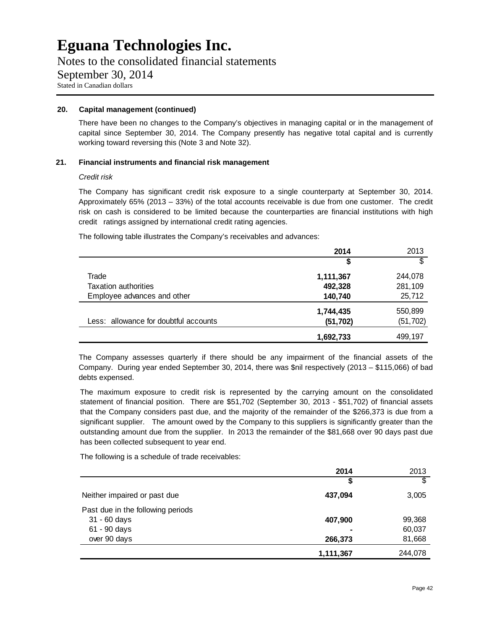Notes to the consolidated financial statements September 30, 2014 Stated in Canadian dollars

#### **20. Capital management (continued)**

There have been no changes to the Company's objectives in managing capital or in the management of capital since September 30, 2014. The Company presently has negative total capital and is currently working toward reversing this (Note 3 and Note 32).

#### **21. Financial instruments and financial risk management**

 *Credit risk* 

The Company has significant credit risk exposure to a single counterparty at September 30, 2014. Approximately 65% (2013 – 33%) of the total accounts receivable is due from one customer. The credit risk on cash is considered to be limited because the counterparties are financial institutions with high credit ratings assigned by international credit rating agencies.

The following table illustrates the Company's receivables and advances:

|                                       | 2014      | 2013      |
|---------------------------------------|-----------|-----------|
|                                       |           |           |
| Trade                                 | 1,111,367 | 244,078   |
| <b>Taxation authorities</b>           | 492,328   | 281,109   |
| Employee advances and other           | 140,740   | 25,712    |
|                                       | 1,744,435 | 550,899   |
| Less: allowance for doubtful accounts | (51, 702) | (51, 702) |
|                                       | 1,692,733 | 499,197   |

The Company assesses quarterly if there should be any impairment of the financial assets of the Company. During year ended September 30, 2014, there was \$nil respectively (2013 – \$115,066) of bad debts expensed.

The maximum exposure to credit risk is represented by the carrying amount on the consolidated statement of financial position. There are \$51,702 (September 30, 2013 - \$51,702) of financial assets that the Company considers past due, and the majority of the remainder of the \$266,373 is due from a significant supplier. The amount owed by the Company to this suppliers is significantly greater than the outstanding amount due from the supplier. In 2013 the remainder of the \$81,668 over 90 days past due has been collected subsequent to year end.

The following is a schedule of trade receivables:

|                                   | 2014      | 2013    |
|-----------------------------------|-----------|---------|
|                                   | \$        | S       |
| Neither impaired or past due      | 437,094   | 3,005   |
| Past due in the following periods |           |         |
| 31 - 60 days                      | 407,900   | 99,368  |
| 61 - 90 days                      |           | 60,037  |
| over 90 days                      | 266,373   | 81,668  |
|                                   | 1,111,367 | 244,078 |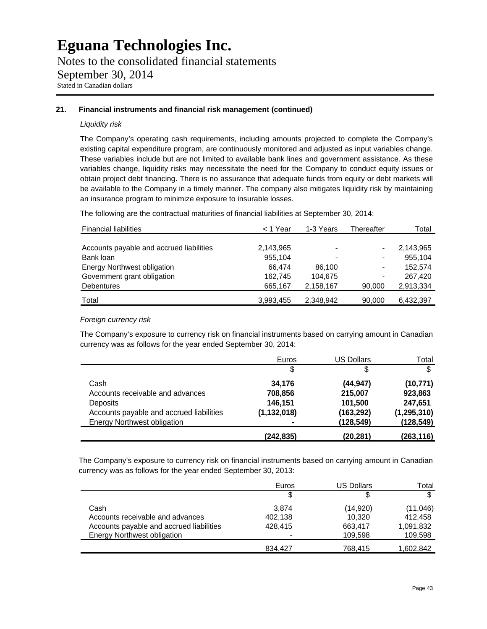Notes to the consolidated financial statements September 30, 2014 Stated in Canadian dollars

#### **21. Financial instruments and financial risk management (continued)**

#### *Liquidity risk*

The Company's operating cash requirements, including amounts projected to complete the Company's existing capital expenditure program, are continuously monitored and adjusted as input variables change. These variables include but are not limited to available bank lines and government assistance. As these variables change, liquidity risks may necessitate the need for the Company to conduct equity issues or obtain project debt financing. There is no assurance that adequate funds from equity or debt markets will be available to the Company in a timely manner. The company also mitigates liquidity risk by maintaining an insurance program to minimize exposure to insurable losses.

The following are the contractual maturities of financial liabilities at September 30, 2014:

| <b>Financial liabilities</b>             | < 1 Year  | 1-3 Years | Thereafter               | Total     |
|------------------------------------------|-----------|-----------|--------------------------|-----------|
|                                          |           |           |                          |           |
| Accounts payable and accrued liabilities | 2,143,965 |           |                          | 2,143,965 |
| Bank loan                                | 955,104   | $\,$      | $\overline{\phantom{0}}$ | 955.104   |
| <b>Energy Northwest obligation</b>       | 66.474    | 86.100    |                          | 152.574   |
| Government grant obligation              | 162,745   | 104,675   |                          | 267,420   |
| <b>Debentures</b>                        | 665,167   | 2,158,167 | 90,000                   | 2,913,334 |
| Total                                    | 3,993,455 | 2,348,942 | 90.000                   | 6,432,397 |

#### *Foreign currency risk*

The Company's exposure to currency risk on financial instruments based on carrying amount in Canadian currency was as follows for the year ended September 30, 2014:

|                                          | Euros         | <b>US Dollars</b> | Total         |
|------------------------------------------|---------------|-------------------|---------------|
|                                          | \$            | \$                | \$            |
| Cash                                     | 34,176        | (44, 947)         | (10, 771)     |
| Accounts receivable and advances         | 708,856       | 215,007           | 923,863       |
| Deposits                                 | 146,151       | 101,500           | 247,651       |
| Accounts payable and accrued liabilities | (1, 132, 018) | (163, 292)        | (1, 295, 310) |
| <b>Energy Northwest obligation</b>       |               | (128, 549)        | (128, 549)    |
|                                          | (242, 835)    | (20,281)          | (263, 116)    |

The Company's exposure to currency risk on financial instruments based on carrying amount in Canadian currency was as follows for the year ended September 30, 2013:

|                                          | Euros          | US Dollars | Total     |
|------------------------------------------|----------------|------------|-----------|
|                                          | \$             | \$         | \$        |
| Cash                                     | 3.874          | (14,920)   | (11,046)  |
| Accounts receivable and advances         | 402,138        | 10.320     | 412.458   |
| Accounts payable and accrued liabilities | 428,415        | 663,417    | 1,091,832 |
| <b>Energy Northwest obligation</b>       | $\blacksquare$ | 109,598    | 109,598   |
|                                          | 834.427        | 768.415    | 1,602,842 |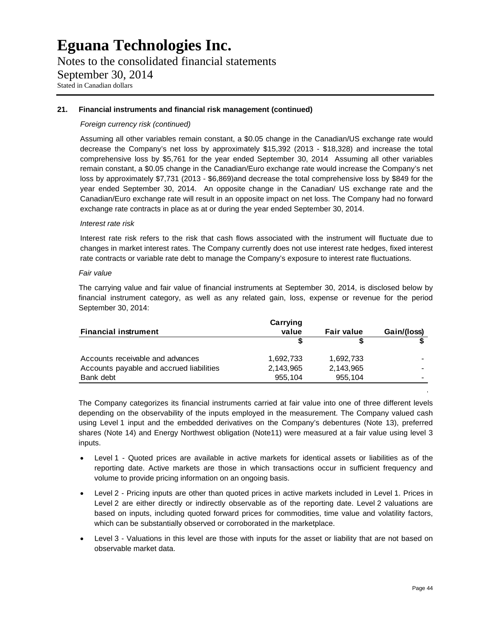Notes to the consolidated financial statements September 30, 2014 Stated in Canadian dollars

#### **21. Financial instruments and financial risk management (continued)**

#### *Foreign currency risk (continued)*

Assuming all other variables remain constant, a \$0.05 change in the Canadian/US exchange rate would decrease the Company's net loss by approximately \$15,392 (2013 - \$18,328) and increase the total comprehensive loss by \$5,761 for the year ended September 30, 2014 Assuming all other variables remain constant, a \$0.05 change in the Canadian/Euro exchange rate would increase the Company's net loss by approximately \$7,731 (2013 - \$6,869)and decrease the total comprehensive loss by \$849 for the year ended September 30, 2014. An opposite change in the Canadian/ US exchange rate and the Canadian/Euro exchange rate will result in an opposite impact on net loss. The Company had no forward exchange rate contracts in place as at or during the year ended September 30, 2014.

#### *Interest rate risk*

Interest rate risk refers to the risk that cash flows associated with the instrument will fluctuate due to changes in market interest rates. The Company currently does not use interest rate hedges, fixed interest rate contracts or variable rate debt to manage the Company's exposure to interest rate fluctuations.

#### *Fair value*

 The carrying value and fair value of financial instruments at September 30, 2014, is disclosed below by financial instrument category, as well as any related gain, loss, expense or revenue for the period September 30, 2014:

|                                          | Carrying  |                   |             |
|------------------------------------------|-----------|-------------------|-------------|
| <b>Financial instrument</b>              | value     | <b>Fair value</b> | Gain/(loss) |
|                                          |           |                   |             |
| Accounts receivable and advances         | 1,692,733 | 1,692,733         |             |
| Accounts payable and accrued liabilities | 2,143,965 | 2,143,965         |             |
| Bank debt                                | 955,104   | 955,104           |             |

The Company categorizes its financial instruments carried at fair value into one of three different levels depending on the observability of the inputs employed in the measurement. The Company valued cash using Level 1 input and the embedded derivatives on the Company's debentures (Note 13), preferred shares (Note 14) and Energy Northwest obligation (Note11) were measured at a fair value using level 3 inputs.

- Level 1 Quoted prices are available in active markets for identical assets or liabilities as of the reporting date. Active markets are those in which transactions occur in sufficient frequency and volume to provide pricing information on an ongoing basis.
- Level 2 Pricing inputs are other than quoted prices in active markets included in Level 1. Prices in Level 2 are either directly or indirectly observable as of the reporting date. Level 2 valuations are based on inputs, including quoted forward prices for commodities, time value and volatility factors, which can be substantially observed or corroborated in the marketplace.
- Level 3 Valuations in this level are those with inputs for the asset or liability that are not based on observable market data.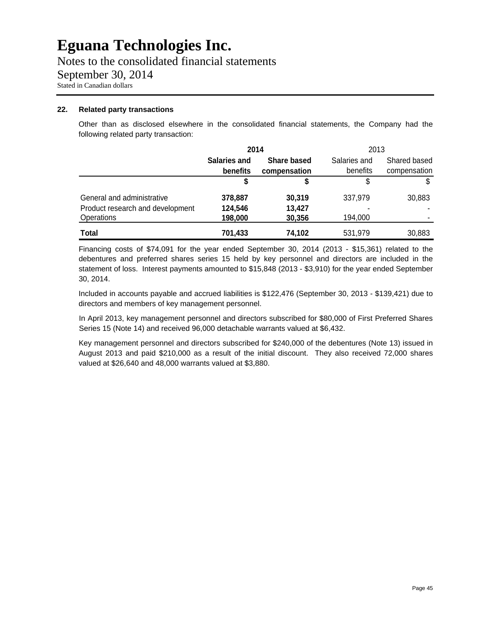Notes to the consolidated financial statements September 30, 2014 Stated in Canadian dollars

#### **22. Related party transactions**

Other than as disclosed elsewhere in the consolidated financial statements, the Company had the following related party transaction:

|                                  | 2014         |                    | 2013     |              |
|----------------------------------|--------------|--------------------|----------|--------------|
|                                  | Salaries and | <b>Share based</b> |          | Shared based |
|                                  | benefits     | compensation       | benefits | compensation |
|                                  |              | S                  | \$       |              |
| General and administrative       | 378,887      | 30,319             | 337,979  | 30,883       |
| Product research and development | 124,546      | 13,427             |          |              |
| <b>Operations</b>                | 198,000      | 30,356             | 194,000  |              |
| <b>Total</b>                     | 701,433      | 74,102             | 531,979  | 30,883       |

Financing costs of \$74,091 for the year ended September 30, 2014 (2013 - \$15,361) related to the debentures and preferred shares series 15 held by key personnel and directors are included in the statement of loss. Interest payments amounted to \$15,848 (2013 - \$3,910) for the year ended September 30, 2014.

Included in accounts payable and accrued liabilities is \$122,476 (September 30, 2013 - \$139,421) due to directors and members of key management personnel.

In April 2013, key management personnel and directors subscribed for \$80,000 of First Preferred Shares Series 15 (Note 14) and received 96,000 detachable warrants valued at \$6,432.

Key management personnel and directors subscribed for \$240,000 of the debentures (Note 13) issued in August 2013 and paid \$210,000 as a result of the initial discount. They also received 72,000 shares valued at \$26,640 and 48,000 warrants valued at \$3,880.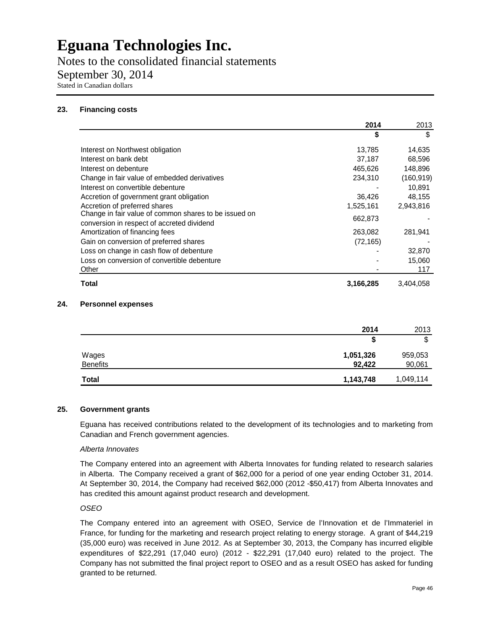Notes to the consolidated financial statements

September 30, 2014

Stated in Canadian dollars

### **23. Financing costs**

|                                                                                                     | 2014      | 2013       |
|-----------------------------------------------------------------------------------------------------|-----------|------------|
|                                                                                                     | S         | \$         |
| Interest on Northwest obligation                                                                    | 13,785    | 14,635     |
| Interest on bank debt                                                                               | 37,187    | 68,596     |
| Interest on debenture                                                                               | 465,626   | 148,896    |
| Change in fair value of embedded derivatives                                                        | 234,310   | (160, 919) |
| Interest on convertible debenture                                                                   |           | 10,891     |
| Accretion of government grant obligation                                                            | 36,426    | 48,155     |
| Accretion of preferred shares                                                                       | 1,525,161 | 2,943,816  |
| Change in fair value of common shares to be issued on<br>conversion in respect of accreted dividend | 662,873   |            |
| Amortization of financing fees                                                                      | 263,082   | 281,941    |
| Gain on conversion of preferred shares                                                              | (72, 165) |            |
| Loss on change in cash flow of debenture                                                            |           | 32,870     |
| Loss on conversion of convertible debenture                                                         |           | 15,060     |
| Other                                                                                               |           | 117        |
| Total                                                                                               | 3,166,285 | 3,404,058  |

### **24. Personnel expenses**

|                 | 2014      | 2013      |
|-----------------|-----------|-----------|
|                 | \$        | ጦ<br>J    |
| Wages           | 1,051,326 | 959,053   |
| <b>Benefits</b> | 92.422    | 90,061    |
| <b>Total</b>    | 1,143,748 | 1,049,114 |

#### **25. Government grants**

Eguana has received contributions related to the development of its technologies and to marketing from Canadian and French government agencies.

#### *Alberta Innovates*

The Company entered into an agreement with Alberta Innovates for funding related to research salaries in Alberta. The Company received a grant of \$62,000 for a period of one year ending October 31, 2014. At September 30, 2014, the Company had received \$62,000 (2012 -\$50,417) from Alberta Innovates and has credited this amount against product research and development.

#### *OSEO*

The Company entered into an agreement with OSEO, Service de l'Innovation et de l'Immateriel in France, for funding for the marketing and research project relating to energy storage. A grant of \$44,219 (35,000 euro) was received in June 2012. As at September 30, 2013, the Company has incurred eligible expenditures of \$22,291 (17,040 euro) (2012 - \$22,291 (17,040 euro) related to the project. The Company has not submitted the final project report to OSEO and as a result OSEO has asked for funding granted to be returned.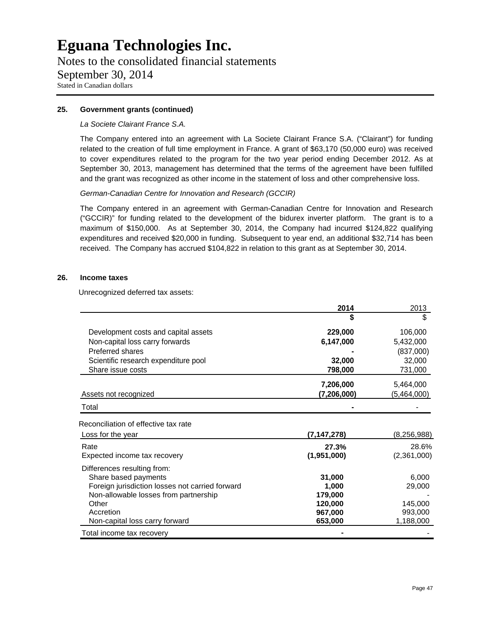Notes to the consolidated financial statements September 30, 2014 Stated in Canadian dollars

#### **25. Government grants (continued)**

#### *La Societe Clairant France S.A.*

The Company entered into an agreement with La Societe Clairant France S.A. ("Clairant") for funding related to the creation of full time employment in France. A grant of \$63,170 (50,000 euro) was received to cover expenditures related to the program for the two year period ending December 2012. As at September 30, 2013, management has determined that the terms of the agreement have been fulfilled and the grant was recognized as other income in the statement of loss and other comprehensive loss.

#### *German-Canadian Centre for Innovation and Research (GCCIR)*

The Company entered in an agreement with German-Canadian Centre for Innovation and Research ("GCCIR)" for funding related to the development of the bidurex inverter platform. The grant is to a maximum of \$150,000. As at September 30, 2014, the Company had incurred \$124,822 qualifying expenditures and received \$20,000 in funding. Subsequent to year end, an additional \$32,714 has been received. The Company has accrued \$104,822 in relation to this grant as at September 30, 2014.

#### **26. Income taxes**

Unrecognized deferred tax assets:

|                                                 | 2014          | 2013          |
|-------------------------------------------------|---------------|---------------|
|                                                 | S             | \$            |
| Development costs and capital assets            | 229,000       | 106,000       |
| Non-capital loss carry forwards                 | 6,147,000     | 5,432,000     |
| Preferred shares                                |               | (837,000)     |
| Scientific research expenditure pool            | 32,000        | 32,000        |
| Share issue costs                               | 798,000       | 731,000       |
|                                                 | 7,206,000     | 5,464,000     |
| Assets not recognized                           | (7, 206, 000) | (5,464,000)   |
| Total                                           |               |               |
| Reconciliation of effective tax rate            |               |               |
| Loss for the year                               | (7,147,278)   | (8, 256, 988) |
| Rate                                            | 27.3%         | 28.6%         |
| Expected income tax recovery                    | (1,951,000)   | (2,361,000)   |
| Differences resulting from:                     |               |               |
| Share based payments                            | 31,000        | 6,000         |
| Foreign jurisdiction losses not carried forward | 1,000         | 29,000        |
| Non-allowable losses from partnership           | 179,000       |               |
| Other                                           | 120,000       | 145,000       |
| Accretion                                       | 967,000       | 993,000       |
| Non-capital loss carry forward                  | 653,000       | 1,188,000     |
| Total income tax recovery                       |               |               |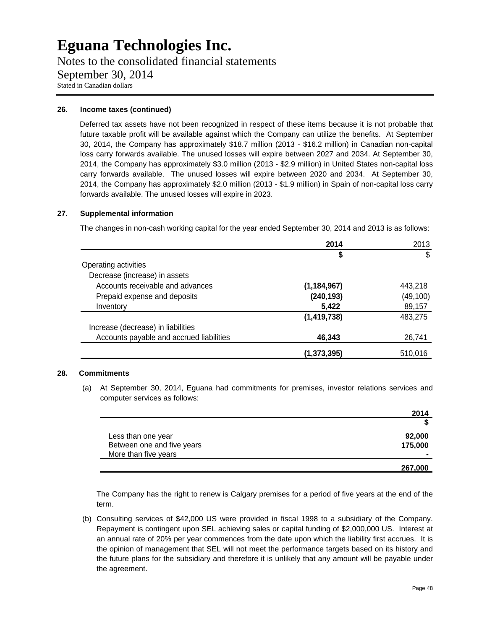Notes to the consolidated financial statements September 30, 2014 Stated in Canadian dollars

#### **26. Income taxes (continued)**

Deferred tax assets have not been recognized in respect of these items because it is not probable that future taxable profit will be available against which the Company can utilize the benefits. At September 30, 2014, the Company has approximately \$18.7 million (2013 - \$16.2 million) in Canadian non-capital loss carry forwards available. The unused losses will expire between 2027 and 2034. At September 30, 2014, the Company has approximately \$3.0 million (2013 - \$2.9 million) in United States non-capital loss carry forwards available. The unused losses will expire between 2020 and 2034. At September 30, 2014, the Company has approximately \$2.0 million (2013 - \$1.9 million) in Spain of non-capital loss carry forwards available. The unused losses will expire in 2023.

#### **27. Supplemental information**

The changes in non-cash working capital for the year ended September 30, 2014 and 2013 is as follows:

|                                          | 2014          | 2013      |
|------------------------------------------|---------------|-----------|
|                                          | \$            | \$        |
| Operating activities                     |               |           |
| Decrease (increase) in assets            |               |           |
| Accounts receivable and advances         | (1,184,967)   | 443,218   |
| Prepaid expense and deposits             | (240, 193)    | (49, 100) |
| Inventory                                | 5,422         | 89,157    |
|                                          | (1, 419, 738) | 483,275   |
| Increase (decrease) in liabilities       |               |           |
| Accounts payable and accrued liabilities | 46,343        | 26,741    |
|                                          | (1,373,395)   | 510,016   |

#### **28. Commitments**

(a) At September 30, 2014, Eguana had commitments for premises, investor relations services and computer services as follows:

|                            | 2014    |
|----------------------------|---------|
|                            |         |
| Less than one year         | 92,000  |
| Between one and five years | 175,000 |
| More than five years       |         |
|                            | 267,000 |

The Company has the right to renew is Calgary premises for a period of five years at the end of the term.

(b) Consulting services of \$42,000 US were provided in fiscal 1998 to a subsidiary of the Company. Repayment is contingent upon SEL achieving sales or capital funding of \$2,000,000 US. Interest at an annual rate of 20% per year commences from the date upon which the liability first accrues. It is the opinion of management that SEL will not meet the performance targets based on its history and the future plans for the subsidiary and therefore it is unlikely that any amount will be payable under the agreement.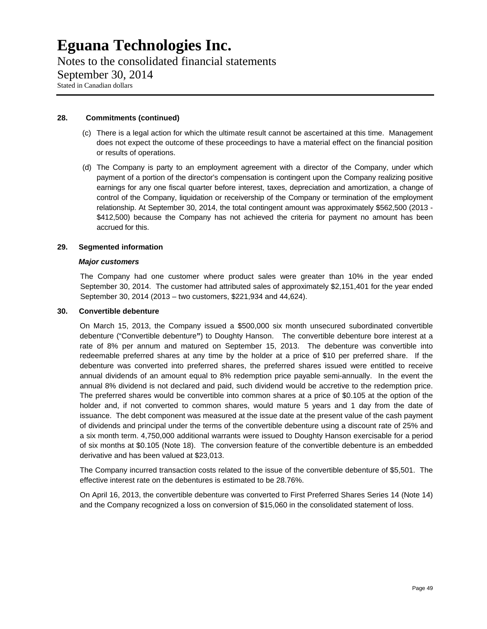Notes to the consolidated financial statements September 30, 2014 Stated in Canadian dollars

#### **28. Commitments (continued)**

- (c) There is a legal action for which the ultimate result cannot be ascertained at this time. Management does not expect the outcome of these proceedings to have a material effect on the financial position or results of operations.
- (d) The Company is party to an employment agreement with a director of the Company, under which payment of a portion of the director's compensation is contingent upon the Company realizing positive earnings for any one fiscal quarter before interest, taxes, depreciation and amortization, a change of control of the Company, liquidation or receivership of the Company or termination of the employment relationship. At September 30, 2014, the total contingent amount was approximately \$562,500 (2013 - \$412,500) because the Company has not achieved the criteria for payment no amount has been accrued for this.

#### **29. Segmented information**

#### *Major customers*

The Company had one customer where product sales were greater than 10% in the year ended September 30, 2014. The customer had attributed sales of approximately \$2,151,401 for the year ended September 30, 2014 (2013 – two customers, \$221,934 and 44,624).

#### **30. Convertible debenture**

On March 15, 2013, the Company issued a \$500,000 six month unsecured subordinated convertible debenture ("Convertible debenture**"**) to Doughty Hanson. The convertible debenture bore interest at a rate of 8% per annum and matured on September 15, 2013. The debenture was convertible into redeemable preferred shares at any time by the holder at a price of \$10 per preferred share. If the debenture was converted into preferred shares, the preferred shares issued were entitled to receive annual dividends of an amount equal to 8% redemption price payable semi-annually. In the event the annual 8% dividend is not declared and paid, such dividend would be accretive to the redemption price. The preferred shares would be convertible into common shares at a price of \$0.105 at the option of the holder and, if not converted to common shares, would mature 5 years and 1 day from the date of issuance. The debt component was measured at the issue date at the present value of the cash payment of dividends and principal under the terms of the convertible debenture using a discount rate of 25% and a six month term. 4,750,000 additional warrants were issued to Doughty Hanson exercisable for a period of six months at \$0.105 (Note 18). The conversion feature of the convertible debenture is an embedded derivative and has been valued at \$23,013.

The Company incurred transaction costs related to the issue of the convertible debenture of \$5,501. The effective interest rate on the debentures is estimated to be 28.76%.

On April 16, 2013, the convertible debenture was converted to First Preferred Shares Series 14 (Note 14) and the Company recognized a loss on conversion of \$15,060 in the consolidated statement of loss.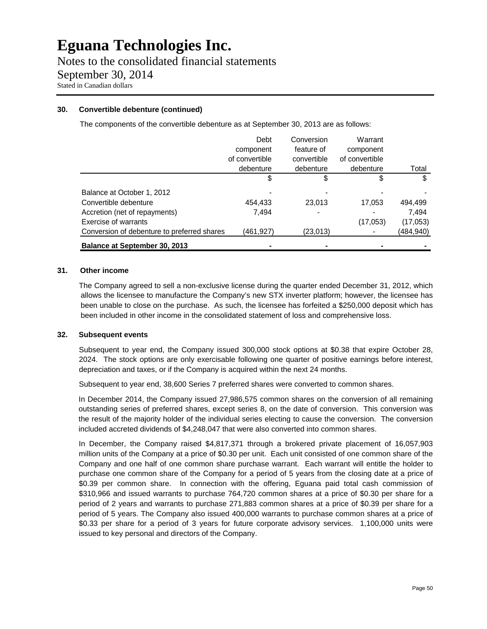Notes to the consolidated financial statements September 30, 2014 Stated in Canadian dollars

#### **30. Convertible debenture (continued)**

The components of the convertible debenture as at September 30, 2013 are as follows:

|                                             | Debt           | Conversion  | Warrant        |           |
|---------------------------------------------|----------------|-------------|----------------|-----------|
|                                             | component      | feature of  | component      |           |
|                                             | of convertible | convertible | of convertible |           |
|                                             | debenture      | debenture   | debenture      | Total     |
|                                             | \$             | \$          | S              | S         |
| Balance at October 1, 2012                  |                |             |                |           |
| Convertible debenture                       | 454,433        | 23,013      | 17,053         | 494,499   |
| Accretion (net of repayments)               | 7.494          |             |                | 7.494     |
| Exercise of warrants                        |                |             | (17,053)       | (17,053)  |
| Conversion of debenture to preferred shares | (461,927)      | (23, 013)   |                | (484,940) |
| <b>Balance at September 30, 2013</b>        |                |             |                |           |

#### **31. Other income**

The Company agreed to sell a non-exclusive license during the quarter ended December 31, 2012, which allows the licensee to manufacture the Company's new STX inverter platform; however, the licensee has been unable to close on the purchase. As such, the licensee has forfeited a \$250,000 deposit which has been included in other income in the consolidated statement of loss and comprehensive loss.

#### **32. Subsequent events**

Subsequent to year end, the Company issued 300,000 stock options at \$0.38 that expire October 28, 2024. The stock options are only exercisable following one quarter of positive earnings before interest, depreciation and taxes, or if the Company is acquired within the next 24 months.

Subsequent to year end, 38,600 Series 7 preferred shares were converted to common shares.

In December 2014, the Company issued 27,986,575 common shares on the conversion of all remaining outstanding series of preferred shares, except series 8, on the date of conversion. This conversion was the result of the majority holder of the individual series electing to cause the conversion. The conversion included accreted dividends of \$4,248,047 that were also converted into common shares.

In December, the Company raised \$4,817,371 through a brokered private placement of 16,057,903 million units of the Company at a price of \$0.30 per unit. Each unit consisted of one common share of the Company and one half of one common share purchase warrant. Each warrant will entitle the holder to purchase one common share of the Company for a period of 5 years from the closing date at a price of \$0.39 per common share. In connection with the offering, Eguana paid total cash commission of \$310,966 and issued warrants to purchase 764,720 common shares at a price of \$0.30 per share for a period of 2 years and warrants to purchase 271,883 common shares at a price of \$0.39 per share for a period of 5 years. The Company also issued 400,000 warrants to purchase common shares at a price of \$0.33 per share for a period of 3 years for future corporate advisory services. 1,100,000 units were issued to key personal and directors of the Company.